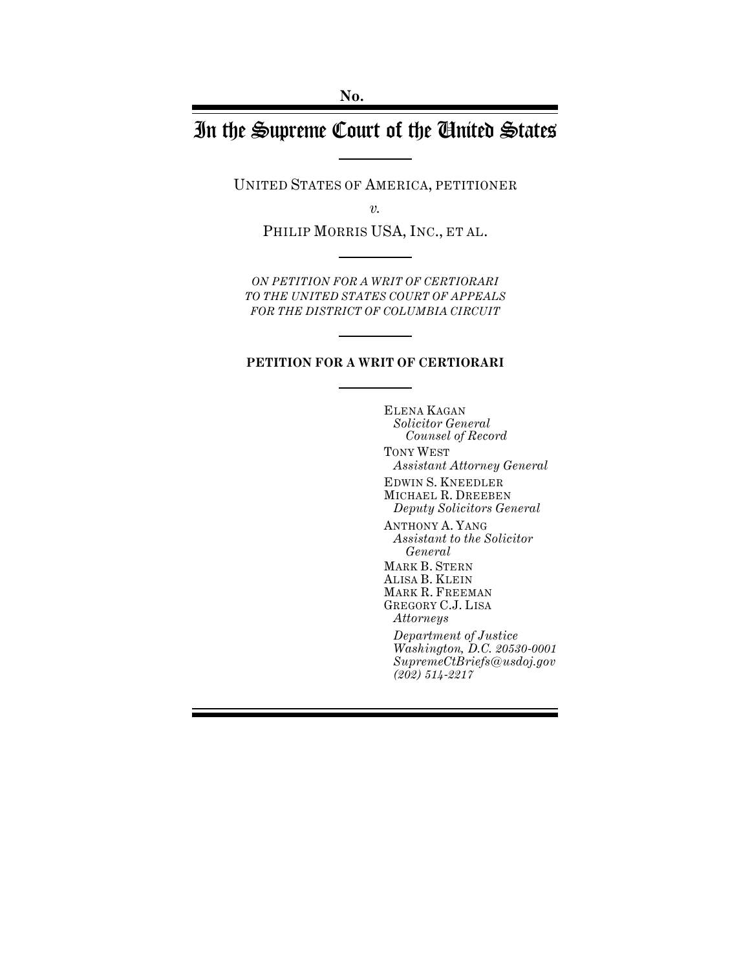# In the Supreme Court of the United States

UNITED STATES OF AMERICA, PETITIONER

*v.*

PHILIP MORRIS USA, INC., ET AL.

*ON PETITION FOR A WRIT OF CERTIORARI TO THE UNITED STATES COURT OF APPEALS FOR THE DISTRICT OF COLUMBIA CIRCUIT*

#### **PETITION FOR A WRIT OF CERTIORARI**

ELENA KAGAN *Solicitor General Counsel of Record*

TONY WEST *Assistant Attorney General*

EDWIN S. KNEEDLER MICHAEL R. DREEBEN *Deputy Solicitors General*

ANTHONY A. YANG *Assistant to the Solicitor General* MARK B. STERN ALISA B. KLEIN MARK R. FREEMAN GREGORY C.J. LISA

*Attorneys Department of Justice Washington, D.C. 20530-0001 SupremeCtBriefs@usdoj.gov (202) 514-2217*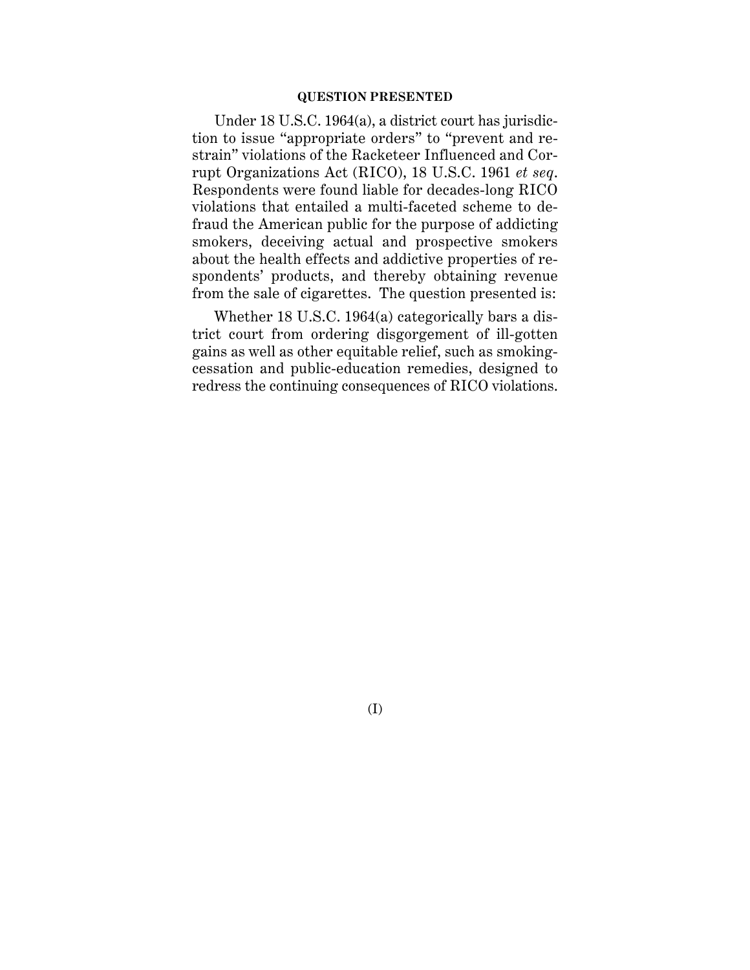#### **QUESTION PRESENTED**

Under 18 U.S.C. 1964(a), a district court has jurisdiction to issue "appropriate orders" to "prevent and restrain" violations of the Racketeer Influenced and Corrupt Organizations Act (RICO), 18 U.S.C. 1961 *et seq*. Respondents were found liable for decades-long RICO violations that entailed a multi-faceted scheme to defraud the American public for the purpose of addicting smokers, deceiving actual and prospective smokers about the health effects and addictive properties of respondents' products, and thereby obtaining revenue from the sale of cigarettes. The question presented is:

Whether 18 U.S.C. 1964(a) categorically bars a district court from ordering disgorgement of ill-gotten gains as well as other equitable relief, such as smokingcessation and public-education remedies, designed to redress the continuing consequences of RICO violations.

(I)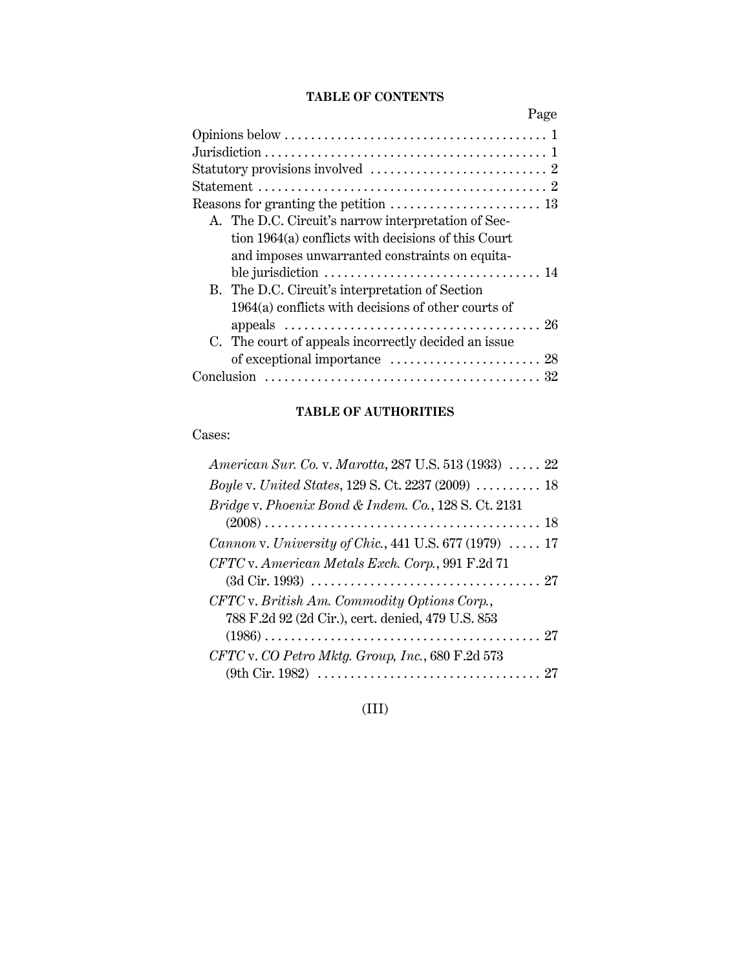## **TABLE OF CONTENTS**

| Page |
|------|
|      |
|      |
|      |
|      |
|      |
|      |
|      |
|      |
|      |
|      |
|      |
|      |
|      |
|      |
|      |
|      |

## **TABLE OF AUTHORITIES**

Cases:

| American Sur. Co. v. Marotta, 287 U.S. 513 (1933)  22                  |
|------------------------------------------------------------------------|
| <i>Boyle v. United States, 129 S. Ct. 2237 (2009)  18</i>              |
| Bridge v. Phoenix Bond & Indem. Co., 128 S. Ct. 2131                   |
|                                                                        |
| <i>Cannon v. University of Chic.</i> , 441 U.S. 677 (1979) $\ldots$ 17 |
| CFTC v. American Metals Exch. Corp., 991 F.2d 71                       |
|                                                                        |
| CFTC v. British Am. Commodity Options Corp.,                           |
| 788 F.2d 92 (2d Cir.), cert. denied, 479 U.S. 853                      |
|                                                                        |
| CFTC v. CO Petro Mktg. Group, Inc., 680 F.2d 573                       |
|                                                                        |

(III)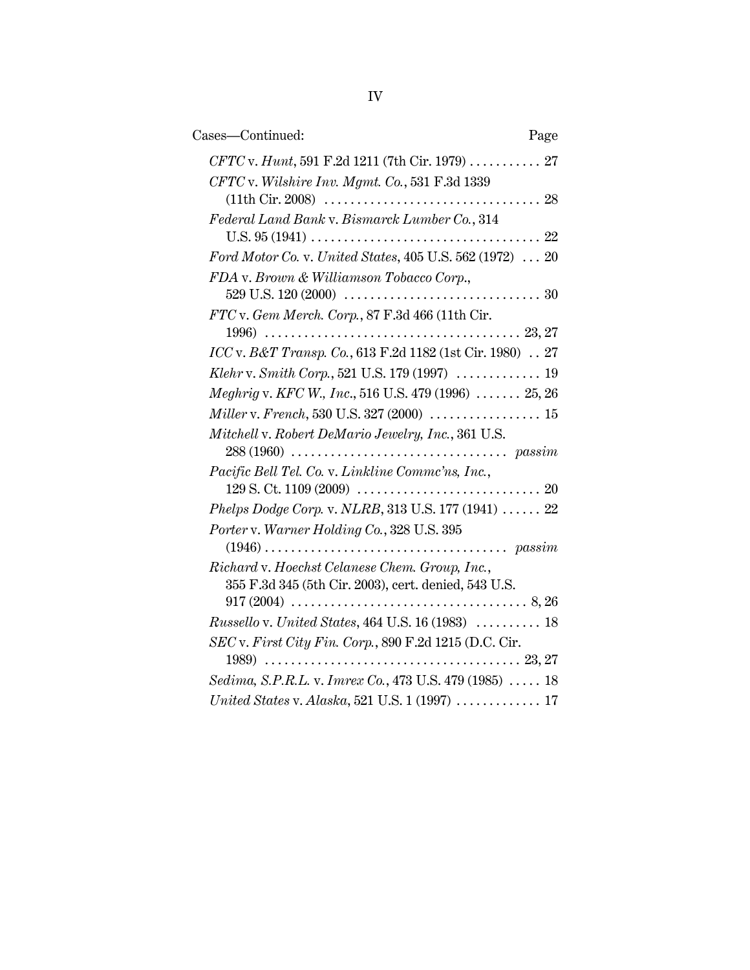| Cases-Continued:                                          | Page |
|-----------------------------------------------------------|------|
| CFTC v. Hunt, 591 F.2d 1211 (7th Cir. 1979)  27           |      |
| CFTC v. Wilshire Inv. Mgmt. Co., 531 F.3d 1339            |      |
|                                                           |      |
| Federal Land Bank v. Bismarck Lumber Co., 314             |      |
|                                                           |      |
| Ford Motor Co. v. United States, 405 U.S. 562 (1972)  20  |      |
| FDA v. Brown & Williamson Tobacco Corp.,                  |      |
|                                                           |      |
| FTC v. Gem Merch. Corp., 87 F.3d 466 (11th Cir.           |      |
|                                                           |      |
| ICC v. B&T Transp. Co., 613 F.2d 1182 (1st Cir. 1980)  27 |      |
|                                                           |      |
| Meghrig v. KFC W., Inc., 516 U.S. 479 (1996)  25, 26      |      |
|                                                           |      |
| Mitchell v. Robert DeMario Jewelry, Inc., 361 U.S.        |      |
|                                                           |      |
| Pacific Bell Tel. Co. v. Linkline Commc'ns, Inc.,         |      |
|                                                           |      |
| Phelps Dodge Corp. v. NLRB, 313 U.S. 177 (1941)  22       |      |
| Porter v. Warner Holding Co., 328 U.S. 395                |      |
|                                                           |      |
| Richard v. Hoechst Celanese Chem. Group, Inc.,            |      |
| 355 F.3d 345 (5th Cir. 2003), cert. denied, 543 U.S.      |      |
| Russello v. United States, 464 U.S. 16 (1983)  18         |      |
| SEC v. First City Fin. Corp., 890 F.2d 1215 (D.C. Cir.    |      |
|                                                           |      |
| Sedima, S.P.R.L. v. Imrex Co., 473 U.S. 479 (1985)  18    |      |
|                                                           |      |
|                                                           |      |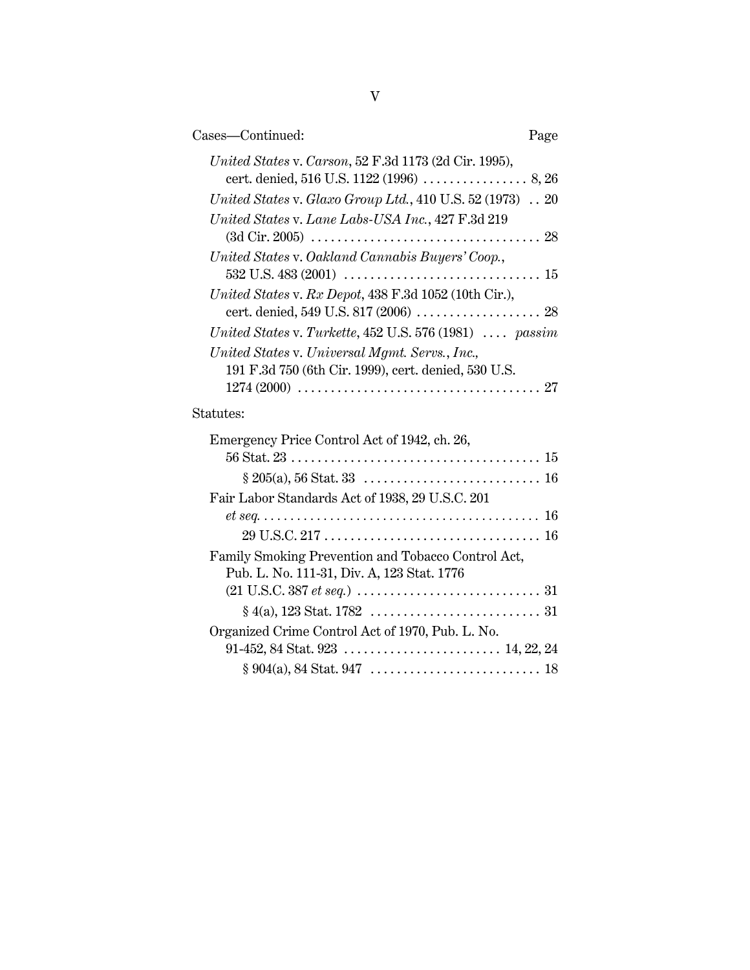| Cases-Continued:<br>Page                                                                               |  |
|--------------------------------------------------------------------------------------------------------|--|
| United States v. Carson, 52 F.3d 1173 (2d Cir. 1995),                                                  |  |
| United States v. Glaxo Group Ltd., 410 U.S. 52 (1973)  20                                              |  |
| United States v. Lane Labs-USA Inc., 427 F.3d 219                                                      |  |
| United States v. Oakland Cannabis Buyers' Coop.,                                                       |  |
| United States v. Rx Depot, 438 F.3d 1052 (10th Cir.),<br>cert. denied, 549 U.S. 817 (2006)  28         |  |
| United States v. Turkette, $452$ U.S. $576$ (1981)  passim                                             |  |
| United States v. Universal Mgmt. Servs., Inc.,<br>191 F.3d 750 (6th Cir. 1999), cert. denied, 530 U.S. |  |
| Statutes:                                                                                              |  |
| Emergency Price Control Act of 1942, ch. 26,                                                           |  |
|                                                                                                        |  |
| Fair Labor Standards Act of 1938, 29 U.S.C. 201                                                        |  |
|                                                                                                        |  |
|                                                                                                        |  |
| Family Smoking Prevention and Tobacco Control Act,<br>Pub. L. No. 111-31, Div. A, 123 Stat. 1776       |  |
|                                                                                                        |  |
|                                                                                                        |  |
| Organized Crime Control Act of 1970, Pub. L. No.                                                       |  |
|                                                                                                        |  |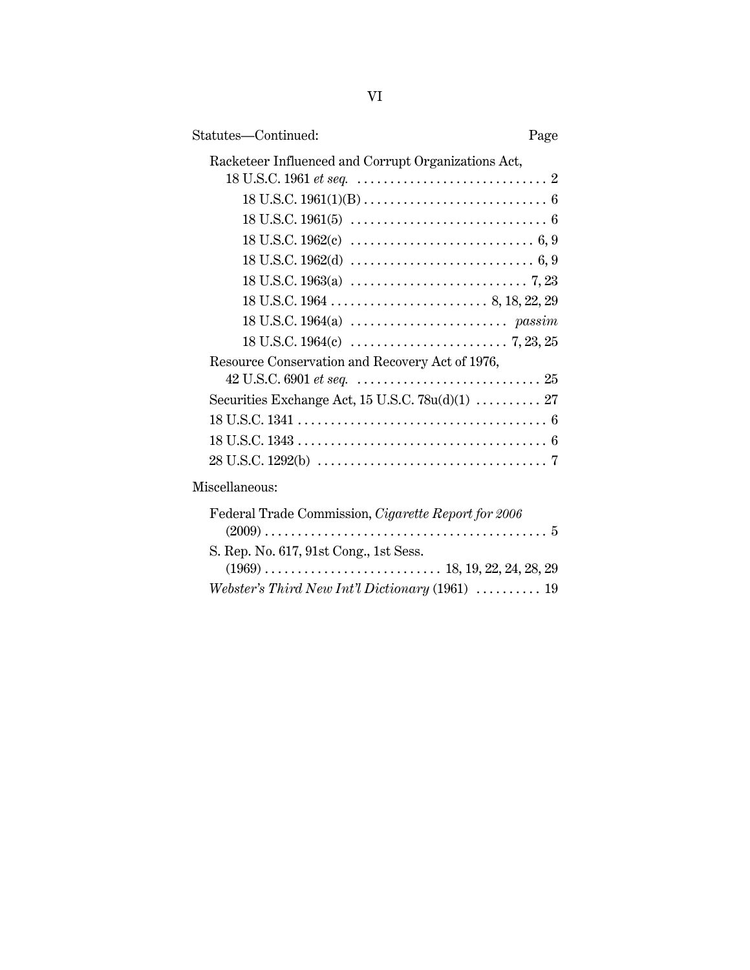| Statutes-Continued:<br>Page                         |  |
|-----------------------------------------------------|--|
| Racketeer Influenced and Corrupt Organizations Act, |  |
|                                                     |  |
|                                                     |  |
|                                                     |  |
|                                                     |  |
|                                                     |  |
|                                                     |  |
|                                                     |  |
|                                                     |  |
| Resource Conservation and Recovery Act of 1976,     |  |
|                                                     |  |
| Securities Exchange Act, 15 U.S.C. 78u(d)(1)  27    |  |
|                                                     |  |
|                                                     |  |
|                                                     |  |
| Miscellaneous:                                      |  |
| Federal Trade Commission, Cigarette Report for 2006 |  |
| S. Rep. No. 617, 91st Cong., 1st Sess.              |  |
|                                                     |  |
| Webster's Third New Int'l Dictionary (1961)  19     |  |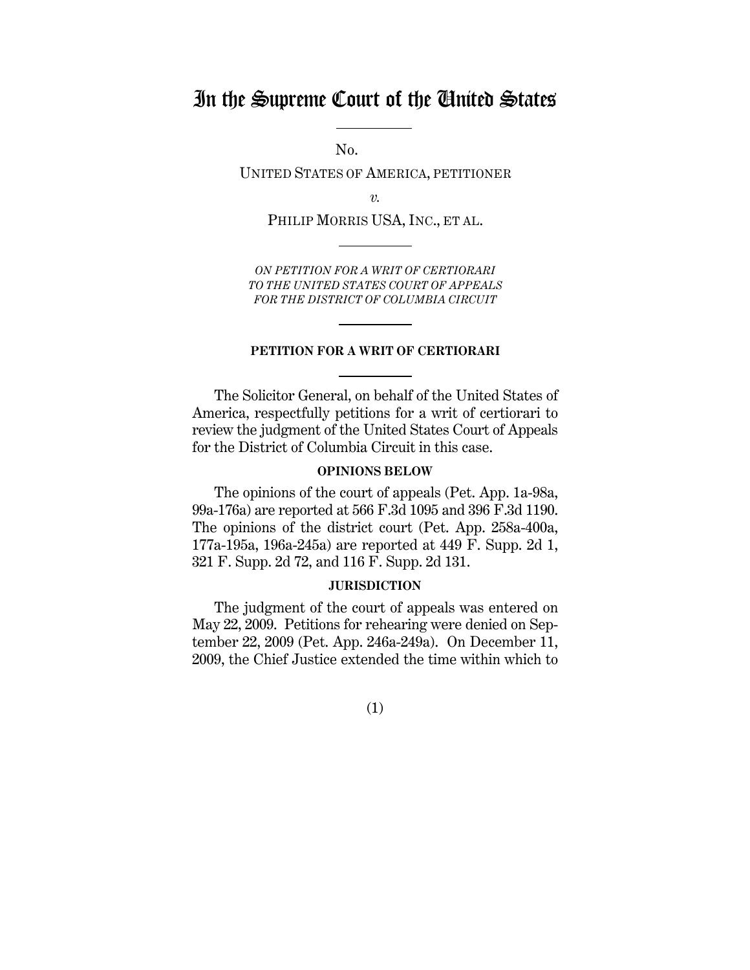## In the Supreme Court of the United States

No.

UNITED STATES OF AMERICA, PETITIONER

*v.*

PHILIP MORRIS USA, INC., ET AL.

*ON PETITION FOR A WRIT OF CERTIORARI TO THE UNITED STATES COURT OF APPEALS FOR THE DISTRICT OF COLUMBIA CIRCUIT*

#### **PETITION FOR A WRIT OF CERTIORARI**

The Solicitor General, on behalf of the United States of America, respectfully petitions for a writ of certiorari to review the judgment of the United States Court of Appeals for the District of Columbia Circuit in this case.

#### **OPINIONS BELOW**

The opinions of the court of appeals (Pet. App. 1a-98a, 99a-176a) are reported at 566 F.3d 1095 and 396 F.3d 1190. The opinions of the district court (Pet. App. 258a-400a, 177a-195a, 196a-245a) are reported at 449 F. Supp. 2d 1, 321 F. Supp. 2d 72, and 116 F. Supp. 2d 131.

#### **JURISDICTION**

The judgment of the court of appeals was entered on May 22, 2009. Petitions for rehearing were denied on September 22, 2009 (Pet. App. 246a-249a). On December 11, 2009, the Chief Justice extended the time within which to

(1)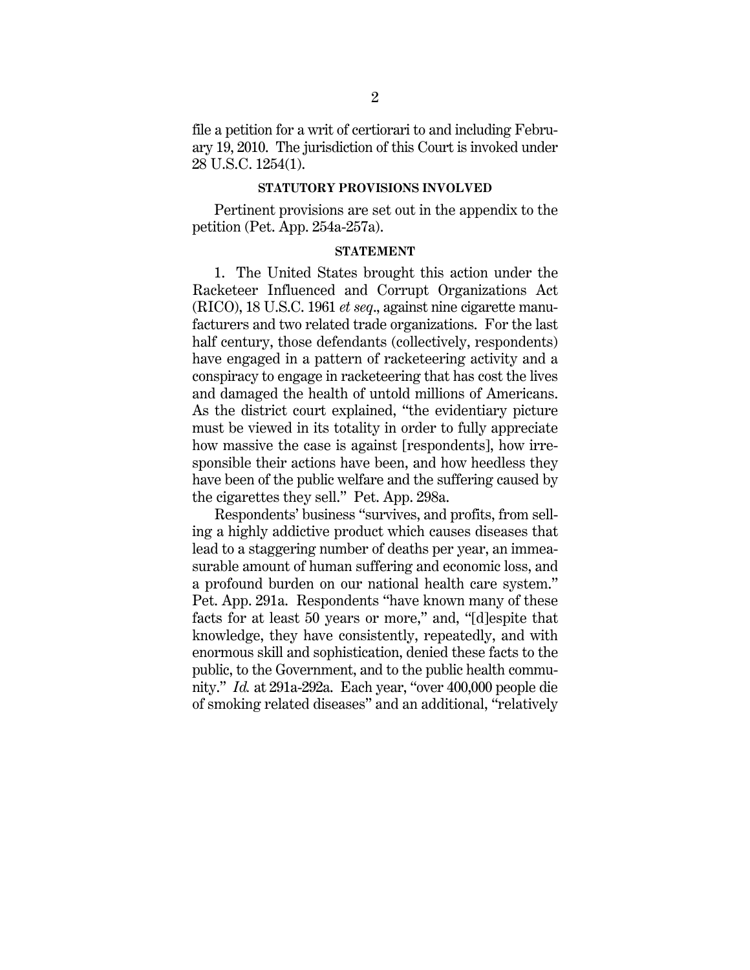file a petition for a writ of certiorari to and including February 19, 2010. The jurisdiction of this Court is invoked under 28 U.S.C. 1254(1).

#### **STATUTORY PROVISIONS INVOLVED**

Pertinent provisions are set out in the appendix to the petition (Pet. App. 254a-257a).

#### **STATEMENT**

1. The United States brought this action under the Racketeer Influenced and Corrupt Organizations Act (RICO), 18 U.S.C. 1961 *et seq*., against nine cigarette manufacturers and two related trade organizations. For the last half century, those defendants (collectively, respondents) have engaged in a pattern of racketeering activity and a conspiracy to engage in racketeering that has cost the lives and damaged the health of untold millions of Americans. As the district court explained, "the evidentiary picture must be viewed in its totality in order to fully appreciate how massive the case is against (respondents), how irresponsible their actions have been, and how heedless they have been of the public welfare and the suffering caused by the cigarettes they sell." Pet. App. 298a.

Respondents' business "survives, and profits, from selling a highly addictive product which causes diseases that lead to a staggering number of deaths per year, an immeasurable amount of human suffering and economic loss, and a profound burden on our national health care system." Pet. App. 291a. Respondents "have known many of these facts for at least 50 years or more," and, "[d]espite that knowledge, they have consistently, repeatedly, and with enormous skill and sophistication, denied these facts to the public, to the Government, and to the public health community." *Id.* at 291a-292a. Each year, "over 400,000 people die of smoking related diseases" and an additional, "relatively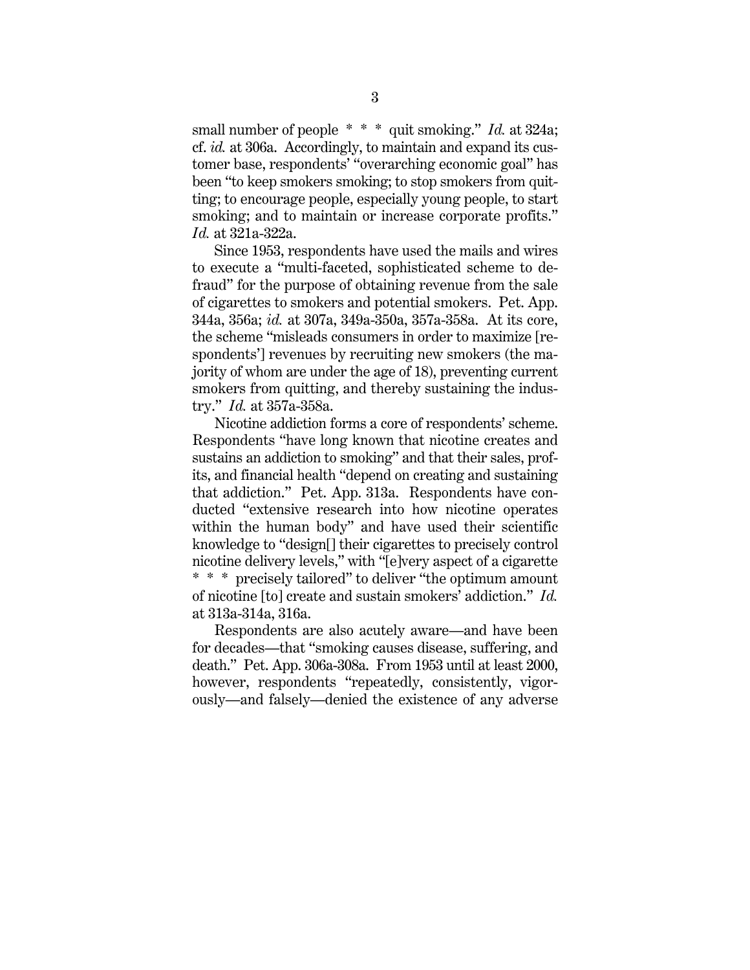small number of people  $**$  and smoking." *Id.* at 324a; cf. *id.* at 306a. Accordingly, to maintain and expand its customer base, respondents' "overarching economic goal" has been "to keep smokers smoking; to stop smokers from quitting; to encourage people, especially young people, to start smoking; and to maintain or increase corporate profits." *Id.* at 321a-322a.

Since 1953, respondents have used the mails and wires to execute a "multi-faceted, sophisticated scheme to defraud" for the purpose of obtaining revenue from the sale of cigarettes to smokers and potential smokers. Pet. App. 344a, 356a; *id.* at 307a, 349a-350a, 357a-358a. At its core, the scheme "misleads consumers in order to maximize [respondents'] revenues by recruiting new smokers (the majority of whom are under the age of 18), preventing current smokers from quitting, and thereby sustaining the industry." *Id.* at 357a-358a.

Nicotine addiction forms a core of respondents' scheme. Respondents "have long known that nicotine creates and sustains an addiction to smoking" and that their sales, profits, and financial health "depend on creating and sustaining that addiction." Pet. App. 313a. Respondents have conducted "extensive research into how nicotine operates within the human body" and have used their scientific knowledge to "design[] their cigarettes to precisely control nicotine delivery levels," with "[e]very aspect of a cigarette \* \* \* precisely tailored" to deliver "the optimum amount of nicotine [to] create and sustain smokers' addiction." *Id.* at 313a-314a, 316a.

Respondents are also acutely aware—and have been for decades—that "smoking causes disease, suffering, and death." Pet. App. 306a-308a. From 1953 until at least 2000, however, respondents "repeatedly, consistently, vigorously—and falsely—denied the existence of any adverse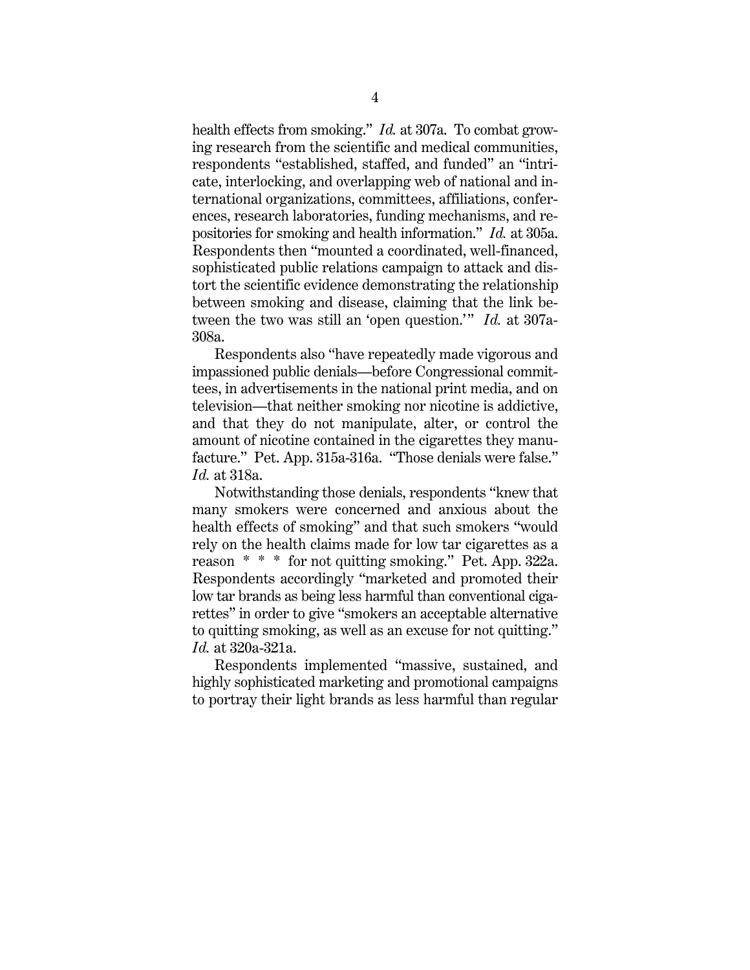health effects from smoking." *Id.* at 307a. To combat growing research from the scientific and medical communities, respondents "established, staffed, and funded" an "intricate, interlocking, and overlapping web of national and international organizations, committees, affiliations, conferences, research laboratories, funding mechanisms, and repositories for smoking and health information." *Id.* at 305a. Respondents then "mounted a coordinated, well-financed, sophisticated public relations campaign to attack and distort the scientific evidence demonstrating the relationship between smoking and disease, claiming that the link between the two was still an 'open question.'" *Id.* at 307a-308a.

Respondents also "have repeatedly made vigorous and impassioned public denials—before Congressional committees, in advertisements in the national print media, and on television—that neither smoking nor nicotine is addictive, and that they do not manipulate, alter, or control the amount of nicotine contained in the cigarettes they manufacture." Pet. App. 315a-316a. "Those denials were false." *Id.* at 318a.

Notwithstanding those denials, respondents "knew that many smokers were concerned and anxious about the health effects of smoking" and that such smokers "would rely on the health claims made for low tar cigarettes as a reason \* \* \* for not quitting smoking." Pet. App. 322a. Respondents accordingly "marketed and promoted their low tar brands as being less harmful than conventional cigarettes" in order to give "smokers an acceptable alternative to quitting smoking, as well as an excuse for not quitting." *Id.* at 320a-321a.

Respondents implemented "massive, sustained, and highly sophisticated marketing and promotional campaigns to portray their light brands as less harmful than regular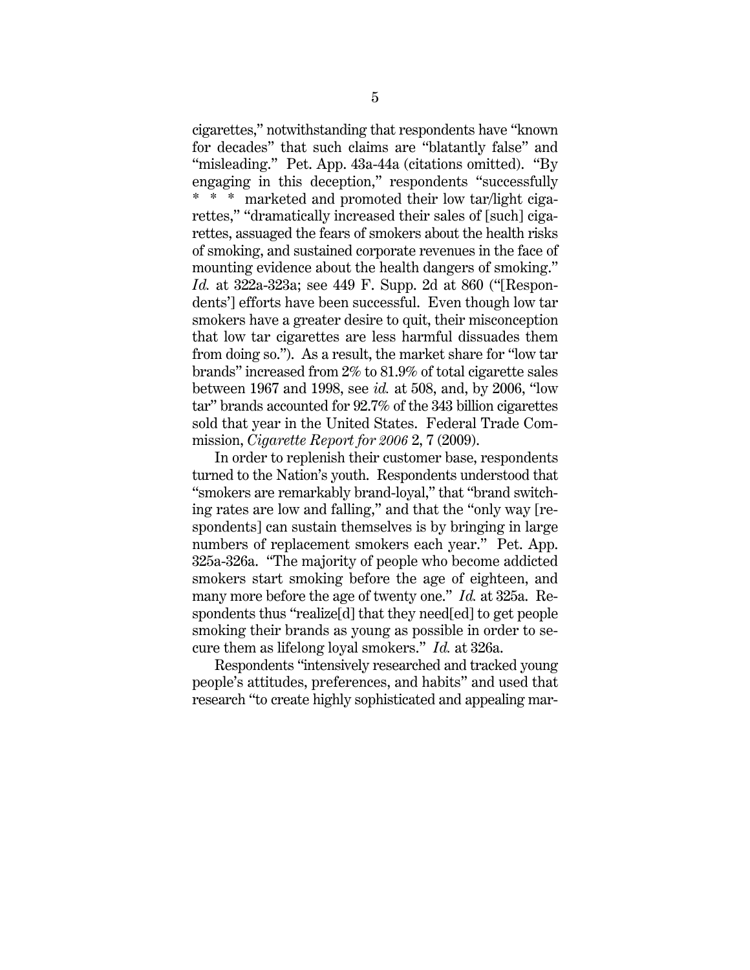cigarettes," notwithstanding that respondents have "known for decades" that such claims are "blatantly false" and "misleading." Pet. App. 43a-44a (citations omitted). "By engaging in this deception," respondents "successfully \* \* \* marketed and promoted their low tar/light cigarettes," "dramatically increased their sales of [such] cigarettes, assuaged the fears of smokers about the health risks of smoking, and sustained corporate revenues in the face of mounting evidence about the health dangers of smoking." *Id.* at 322a-323a; see 449 F. Supp. 2d at 860 ("[Respondents'] efforts have been successful. Even though low tar smokers have a greater desire to quit, their misconception that low tar cigarettes are less harmful dissuades them from doing so."). As a result, the market share for "low tar brands" increased from 2% to 81.9% of total cigarette sales between 1967 and 1998, see *id.* at 508, and, by 2006, "low tar" brands accounted for 92.7% of the 343 billion cigarettes sold that year in the United States. Federal Trade Commission, *Cigarette Report for 2006* 2, 7 (2009).

In order to replenish their customer base, respondents turned to the Nation's youth. Respondents understood that "smokers are remarkably brand-loyal," that "brand switching rates are low and falling," and that the "only way [respondents] can sustain themselves is by bringing in large numbers of replacement smokers each year." Pet. App. 325a-326a. "The majority of people who become addicted smokers start smoking before the age of eighteen, and many more before the age of twenty one." *Id.* at 325a. Respondents thus "realize[d] that they need[ed] to get people smoking their brands as young as possible in order to secure them as lifelong loyal smokers." *Id.* at 326a.

Respondents "intensively researched and tracked young people's attitudes, preferences, and habits" and used that research "to create highly sophisticated and appealing mar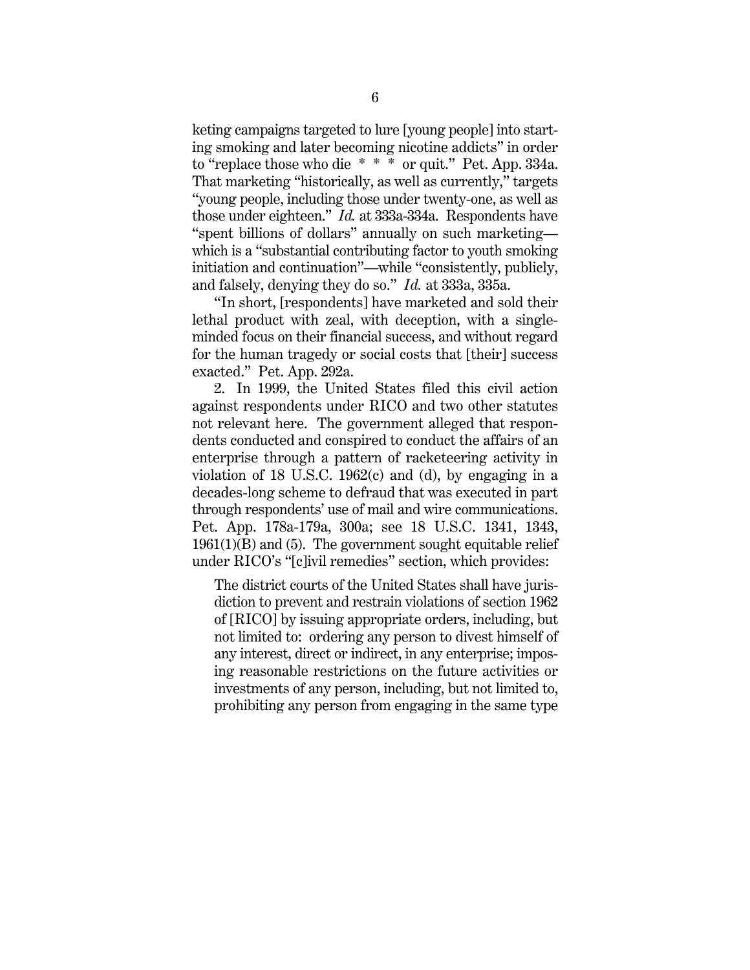keting campaigns targeted to lure [young people] into starting smoking and later becoming nicotine addicts" in order to "replace those who die \* \* \* or quit." Pet. App. 334a. That marketing "historically, as well as currently," targets "young people, including those under twenty-one, as well as those under eighteen." *Id.* at 333a-334a. Respondents have "spent billions of dollars" annually on such marketing which is a "substantial contributing factor to youth smoking initiation and continuation"—while "consistently, publicly, and falsely, denying they do so." *Id.* at 333a, 335a.

"In short, [respondents] have marketed and sold their lethal product with zeal, with deception, with a singleminded focus on their financial success, and without regard for the human tragedy or social costs that [their] success exacted." Pet. App. 292a.

2. In 1999, the United States filed this civil action against respondents under RICO and two other statutes not relevant here. The government alleged that respondents conducted and conspired to conduct the affairs of an enterprise through a pattern of racketeering activity in violation of 18 U.S.C. 1962(c) and (d), by engaging in a decades-long scheme to defraud that was executed in part through respondents' use of mail and wire communications. Pet. App. 178a-179a, 300a; see 18 U.S.C. 1341, 1343, 1961(1)(B) and (5). The government sought equitable relief under RICO's "[c]ivil remedies" section, which provides:

The district courts of the United States shall have jurisdiction to prevent and restrain violations of section 1962 of [RICO] by issuing appropriate orders, including, but not limited to: ordering any person to divest himself of any interest, direct or indirect, in any enterprise; imposing reasonable restrictions on the future activities or investments of any person, including, but not limited to, prohibiting any person from engaging in the same type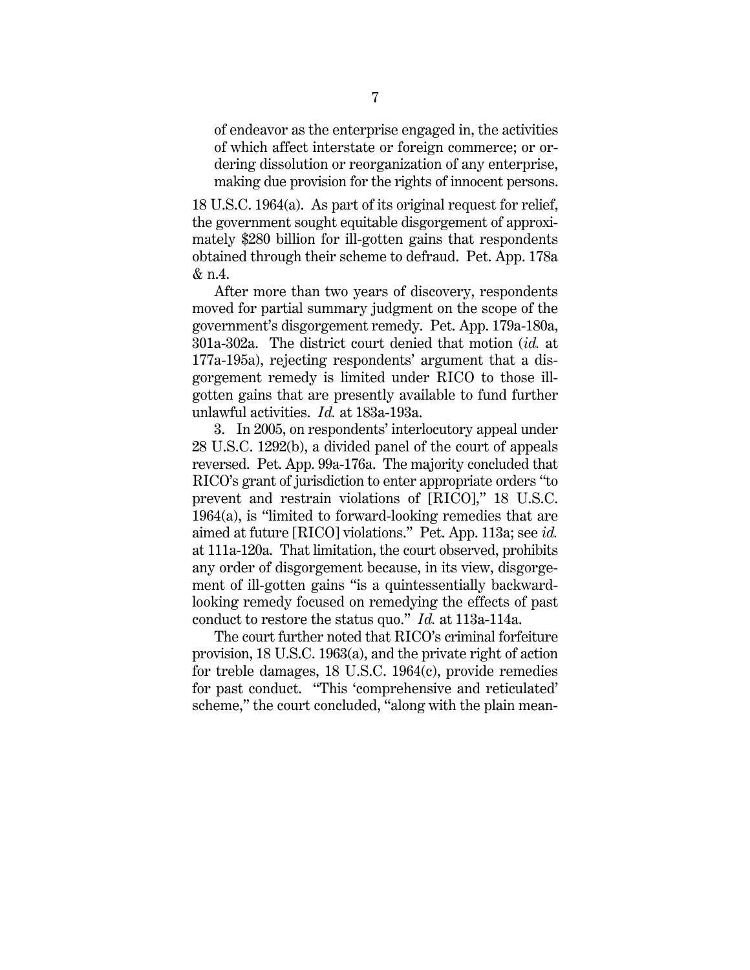of endeavor as the enterprise engaged in, the activities of which affect interstate or foreign commerce; or ordering dissolution or reorganization of any enterprise, making due provision for the rights of innocent persons.

18 U.S.C. 1964(a). As part of its original request for relief, the government sought equitable disgorgement of approximately \$280 billion for ill-gotten gains that respondents obtained through their scheme to defraud. Pet. App. 178a & n.4.

After more than two years of discovery, respondents moved for partial summary judgment on the scope of the government's disgorgement remedy. Pet. App. 179a-180a, 301a-302a. The district court denied that motion (*id.* at 177a-195a), rejecting respondents' argument that a disgorgement remedy is limited under RICO to those illgotten gains that are presently available to fund further unlawful activities. *Id.* at 183a-193a.

3. In 2005, on respondents' interlocutory appeal under 28 U.S.C. 1292(b), a divided panel of the court of appeals reversed. Pet. App. 99a-176a. The majority concluded that RICO's grant of jurisdiction to enter appropriate orders "to prevent and restrain violations of [RICO]," 18 U.S.C. 1964(a), is "limited to forward-looking remedies that are aimed at future [RICO] violations." Pet. App. 113a; see *id.* at 111a-120a. That limitation, the court observed, prohibits any order of disgorgement because, in its view, disgorgement of ill-gotten gains "is a quintessentially backwardlooking remedy focused on remedying the effects of past conduct to restore the status quo." *Id.* at 113a-114a.

The court further noted that RICO's criminal forfeiture provision, 18 U.S.C. 1963(a), and the private right of action for treble damages, 18 U.S.C. 1964(c), provide remedies for past conduct. "This 'comprehensive and reticulated' scheme," the court concluded, "along with the plain mean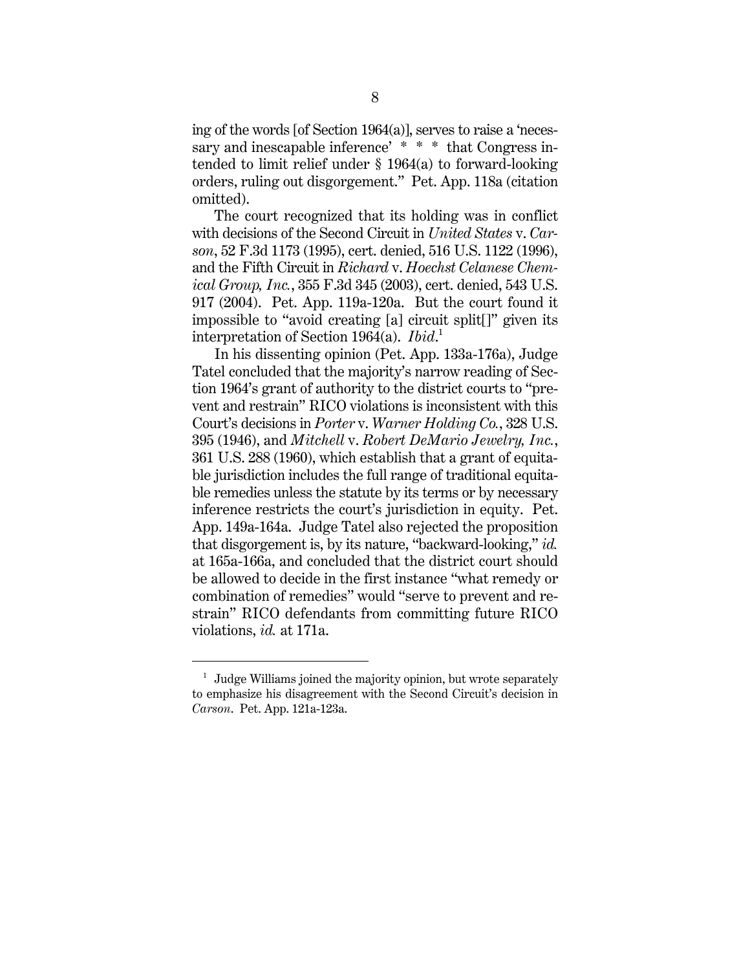ing of the words [of Section 1964(a)], serves to raise a 'necessary and inescapable inference' \* \* \* that Congress intended to limit relief under § 1964(a) to forward-looking orders, ruling out disgorgement." Pet. App. 118a (citation omitted).

The court recognized that its holding was in conflict with decisions of the Second Circuit in *United States* v. *Carson*, 52 F.3d 1173 (1995), cert. denied, 516 U.S. 1122 (1996), and the Fifth Circuit in *Richard* v. *Hoechst Celanese Chemical Group, Inc.*, 355 F.3d 345 (2003), cert. denied, 543 U.S. 917 (2004). Pet. App. 119a-120a. But the court found it impossible to "avoid creating [a] circuit split[]" given its interpretation of Section 1964(a). *Ibid*. 1

In his dissenting opinion (Pet. App. 133a-176a), Judge Tatel concluded that the majority's narrow reading of Section 1964's grant of authority to the district courts to "prevent and restrain" RICO violations is inconsistent with this Court's decisions in *Porter* v. *Warner Holding Co.*, 328 U.S. 395 (1946), and *Mitchell* v. *Robert DeMario Jewelry, Inc.*, 361 U.S. 288 (1960), which establish that a grant of equitable jurisdiction includes the full range of traditional equitable remedies unless the statute by its terms or by necessary inference restricts the court's jurisdiction in equity. Pet. App. 149a-164a. Judge Tatel also rejected the proposition that disgorgement is, by its nature, "backward-looking," *id.* at 165a-166a, and concluded that the district court should be allowed to decide in the first instance "what remedy or combination of remedies" would "serve to prevent and restrain" RICO defendants from committing future RICO violations, *id.* at 171a.

 $1$  Judge Williams joined the majority opinion, but wrote separately to emphasize his disagreement with the Second Circuit's decision in *Carson*. Pet. App. 121a-123a.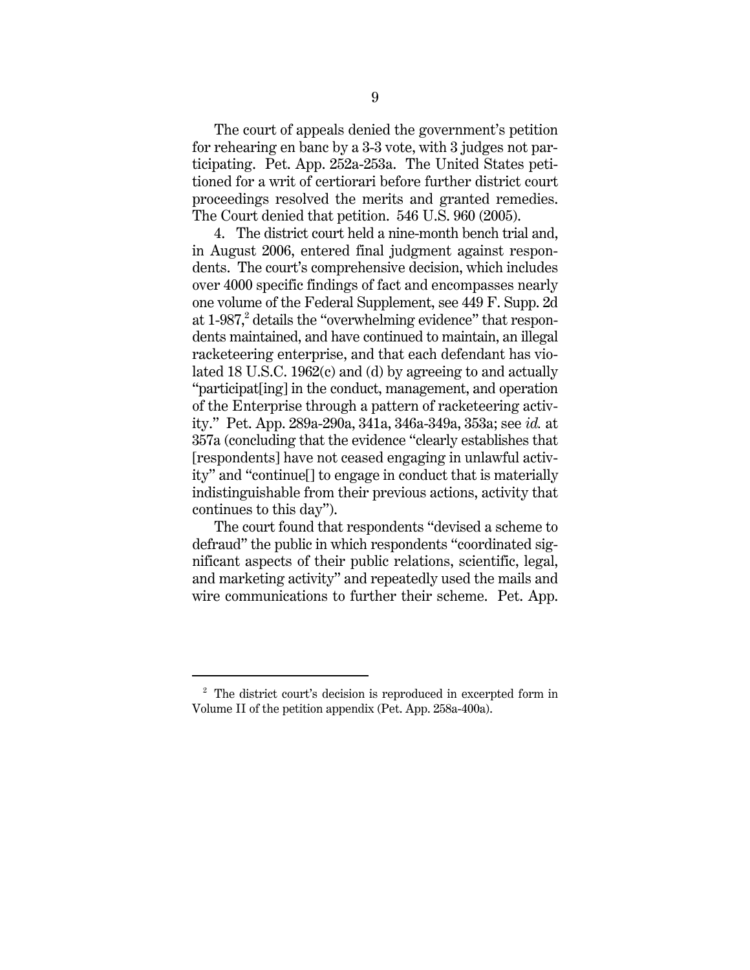The court of appeals denied the government's petition for rehearing en banc by a 3-3 vote, with 3 judges not participating. Pet. App. 252a-253a. The United States petitioned for a writ of certiorari before further district court proceedings resolved the merits and granted remedies. The Court denied that petition. 546 U.S. 960 (2005).

4. The district court held a nine-month bench trial and, in August 2006, entered final judgment against respondents. The court's comprehensive decision, which includes over 4000 specific findings of fact and encompasses nearly one volume of the Federal Supplement, see 449 F. Supp. 2d at 1-987,<sup>2</sup> details the "overwhelming evidence" that respondents maintained, and have continued to maintain, an illegal racketeering enterprise, and that each defendant has violated 18 U.S.C. 1962(c) and (d) by agreeing to and actually "participat[ing] in the conduct, management, and operation of the Enterprise through a pattern of racketeering activity." Pet. App. 289a-290a, 341a, 346a-349a, 353a; see *id.* at 357a (concluding that the evidence "clearly establishes that [respondents] have not ceased engaging in unlawful activity" and "continue[] to engage in conduct that is materially indistinguishable from their previous actions, activity that continues to this day").

The court found that respondents "devised a scheme to defraud" the public in which respondents "coordinated significant aspects of their public relations, scientific, legal, and marketing activity" and repeatedly used the mails and wire communications to further their scheme. Pet. App.

<sup>&</sup>lt;sup>2</sup> The district court's decision is reproduced in excerpted form in Volume II of the petition appendix (Pet. App. 258a-400a).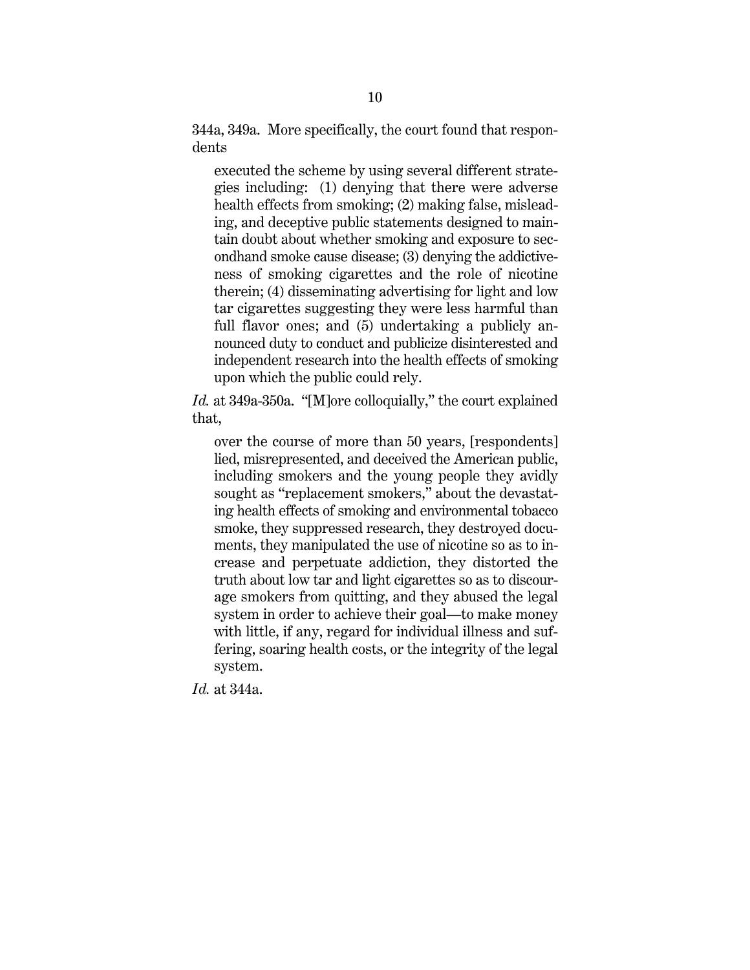344a, 349a. More specifically, the court found that respondents

executed the scheme by using several different strategies including: (1) denying that there were adverse health effects from smoking; (2) making false, misleading, and deceptive public statements designed to maintain doubt about whether smoking and exposure to secondhand smoke cause disease; (3) denying the addictiveness of smoking cigarettes and the role of nicotine therein; (4) disseminating advertising for light and low tar cigarettes suggesting they were less harmful than full flavor ones; and (5) undertaking a publicly announced duty to conduct and publicize disinterested and independent research into the health effects of smoking upon which the public could rely.

*Id.* at 349a-350a. "[M]ore colloquially," the court explained that,

over the course of more than 50 years, [respondents] lied, misrepresented, and deceived the American public, including smokers and the young people they avidly sought as "replacement smokers," about the devastating health effects of smoking and environmental tobacco smoke, they suppressed research, they destroyed documents, they manipulated the use of nicotine so as to increase and perpetuate addiction, they distorted the truth about low tar and light cigarettes so as to discourage smokers from quitting, and they abused the legal system in order to achieve their goal—to make money with little, if any, regard for individual illness and suffering, soaring health costs, or the integrity of the legal system.

*Id.* at 344a.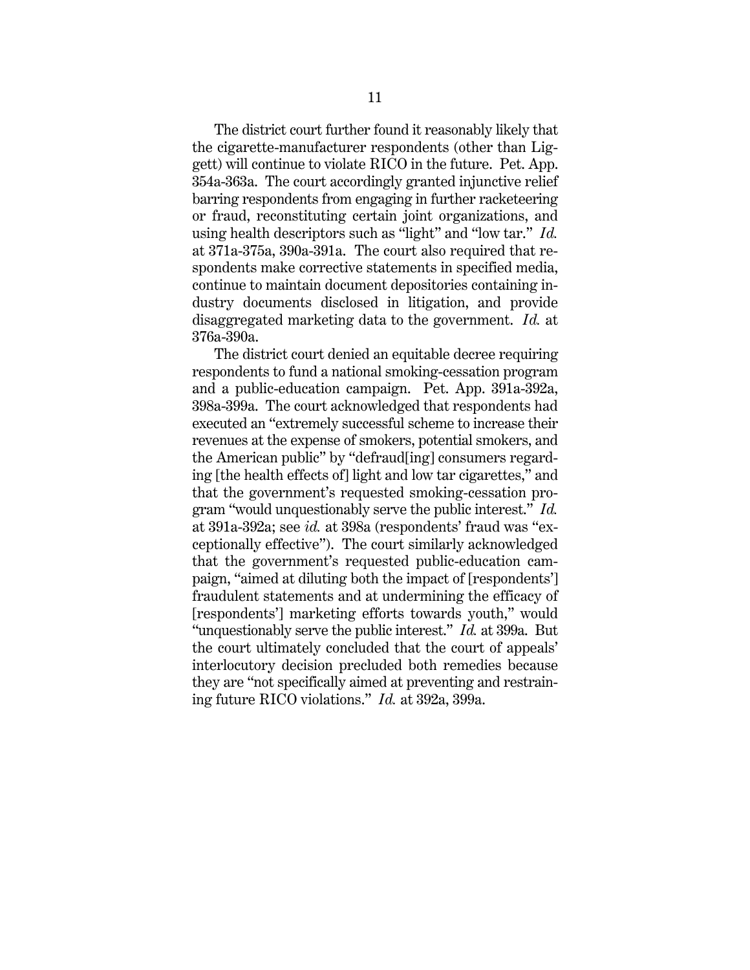The district court further found it reasonably likely that the cigarette-manufacturer respondents (other than Liggett) will continue to violate RICO in the future. Pet. App. 354a-363a. The court accordingly granted injunctive relief barring respondents from engaging in further racketeering or fraud, reconstituting certain joint organizations, and using health descriptors such as "light" and "low tar." *Id.* at 371a-375a, 390a-391a. The court also required that respondents make corrective statements in specified media, continue to maintain document depositories containing industry documents disclosed in litigation, and provide disaggregated marketing data to the government. *Id.* at 376a-390a.

The district court denied an equitable decree requiring respondents to fund a national smoking-cessation program and a public-education campaign. Pet. App. 391a-392a, 398a-399a. The court acknowledged that respondents had executed an "extremely successful scheme to increase their revenues at the expense of smokers, potential smokers, and the American public" by "defraud[ing] consumers regarding [the health effects of] light and low tar cigarettes," and that the government's requested smoking-cessation program "would unquestionably serve the public interest." *Id.* at 391a-392a; see *id.* at 398a (respondents' fraud was "exceptionally effective"). The court similarly acknowledged that the government's requested public-education campaign, "aimed at diluting both the impact of [respondents'] fraudulent statements and at undermining the efficacy of [respondents'] marketing efforts towards youth," would "unquestionably serve the public interest." *Id.* at 399a. But the court ultimately concluded that the court of appeals' interlocutory decision precluded both remedies because they are "not specifically aimed at preventing and restraining future RICO violations." *Id.* at 392a, 399a.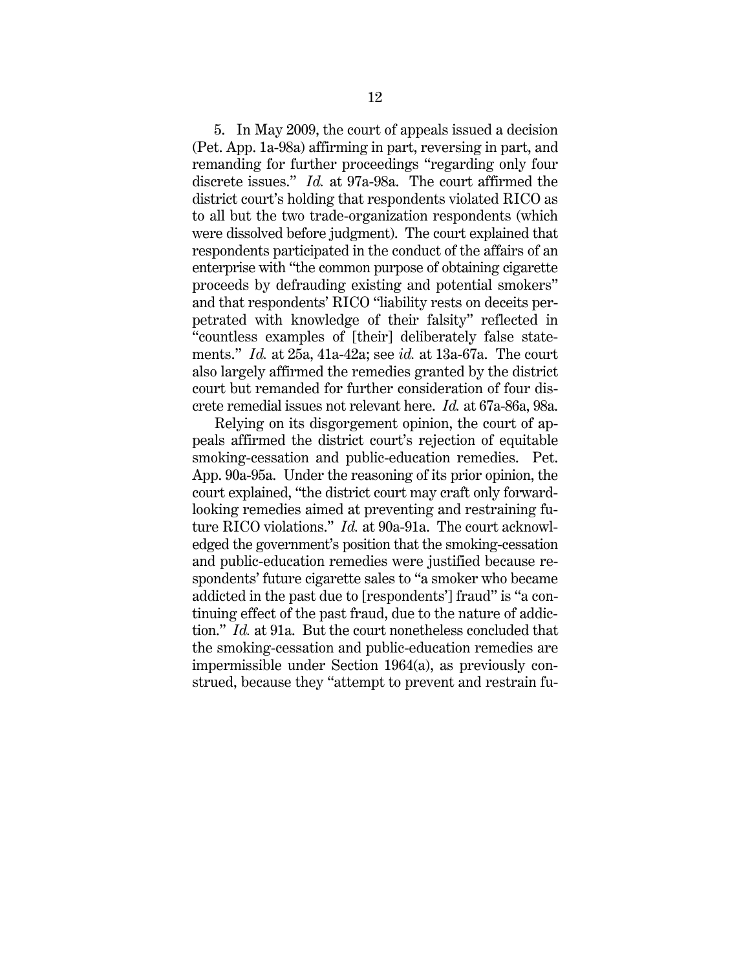5. In May 2009, the court of appeals issued a decision (Pet. App. 1a-98a) affirming in part, reversing in part, and remanding for further proceedings "regarding only four discrete issues." *Id.* at 97a-98a. The court affirmed the district court's holding that respondents violated RICO as to all but the two trade-organization respondents (which were dissolved before judgment). The court explained that respondents participated in the conduct of the affairs of an enterprise with "the common purpose of obtaining cigarette proceeds by defrauding existing and potential smokers" and that respondents' RICO "liability rests on deceits perpetrated with knowledge of their falsity" reflected in "countless examples of [their] deliberately false statements." *Id.* at 25a, 41a-42a; see *id.* at 13a-67a. The court also largely affirmed the remedies granted by the district court but remanded for further consideration of four discrete remedial issues not relevant here. *Id.* at 67a-86a, 98a.

Relying on its disgorgement opinion, the court of appeals affirmed the district court's rejection of equitable smoking-cessation and public-education remedies. Pet. App. 90a-95a. Under the reasoning of its prior opinion, the court explained, "the district court may craft only forwardlooking remedies aimed at preventing and restraining future RICO violations." *Id.* at 90a-91a. The court acknowledged the government's position that the smoking-cessation and public-education remedies were justified because respondents' future cigarette sales to "a smoker who became addicted in the past due to [respondents'] fraud" is "a continuing effect of the past fraud, due to the nature of addiction." *Id.* at 91a. But the court nonetheless concluded that the smoking-cessation and public-education remedies are impermissible under Section 1964(a), as previously construed, because they "attempt to prevent and restrain fu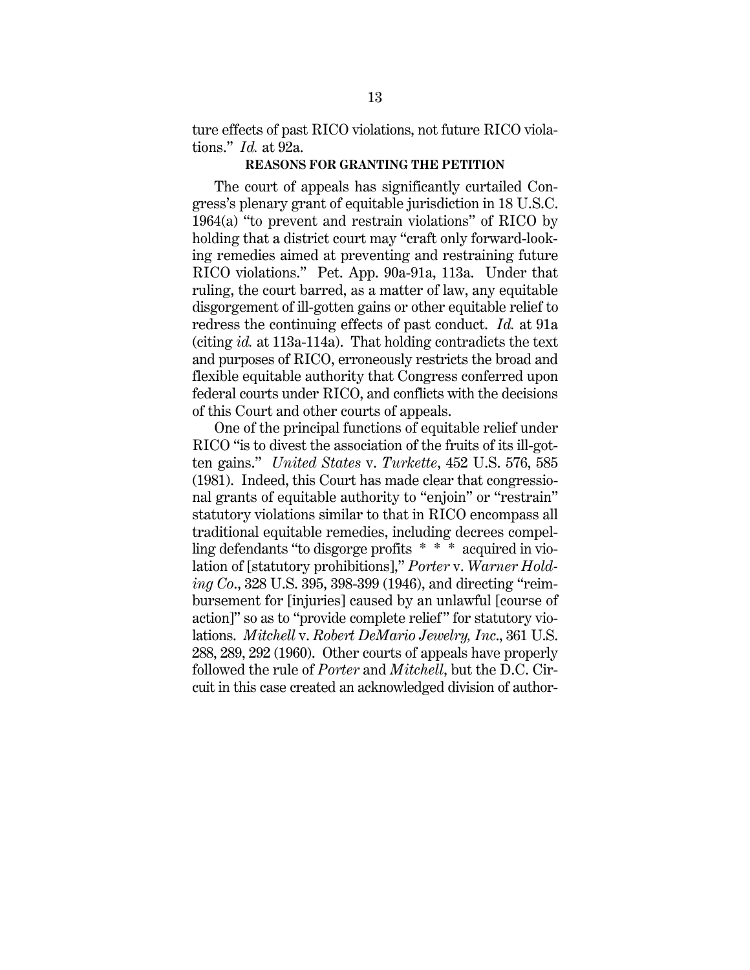ture effects of past RICO violations, not future RICO violations." *Id.* at 92a.

#### **REASONS FOR GRANTING THE PETITION**

The court of appeals has significantly curtailed Congress's plenary grant of equitable jurisdiction in 18 U.S.C. 1964(a) "to prevent and restrain violations" of RICO by holding that a district court may "craft only forward-looking remedies aimed at preventing and restraining future RICO violations." Pet. App. 90a-91a, 113a. Under that ruling, the court barred, as a matter of law, any equitable disgorgement of ill-gotten gains or other equitable relief to redress the continuing effects of past conduct. *Id.* at 91a (citing *id.* at 113a-114a). That holding contradicts the text and purposes of RICO, erroneously restricts the broad and flexible equitable authority that Congress conferred upon federal courts under RICO, and conflicts with the decisions of this Court and other courts of appeals.

One of the principal functions of equitable relief under RICO "is to divest the association of the fruits of its ill-gotten gains." *United States* v. *Turkette*, 452 U.S. 576, 585 (1981). Indeed, this Court has made clear that congressional grants of equitable authority to "enjoin" or "restrain" statutory violations similar to that in RICO encompass all traditional equitable remedies, including decrees compelling defendants "to disgorge profits \* \* \* acquired in violation of [statutory prohibitions]," *Porter* v. *Warner Holding Co*., 328 U.S. 395, 398-399 (1946), and directing "reimbursement for [injuries] caused by an unlawful [course of action]" so as to "provide complete relief" for statutory violations. *Mitchell* v. *Robert DeMario Jewelry, Inc*., 361 U.S. 288, 289, 292 (1960). Other courts of appeals have properly followed the rule of *Porter* and *Mitchell*, but the D.C. Circuit in this case created an acknowledged division of author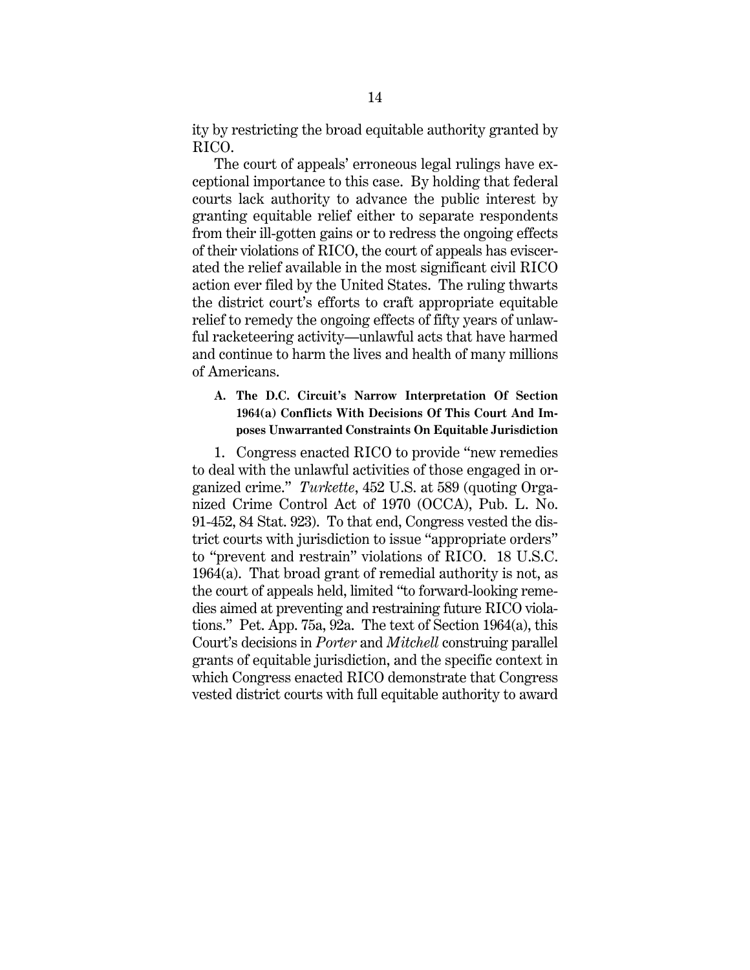ity by restricting the broad equitable authority granted by RICO.

The court of appeals' erroneous legal rulings have exceptional importance to this case. By holding that federal courts lack authority to advance the public interest by granting equitable relief either to separate respondents from their ill-gotten gains or to redress the ongoing effects of their violations of RICO, the court of appeals has eviscerated the relief available in the most significant civil RICO action ever filed by the United States. The ruling thwarts the district court's efforts to craft appropriate equitable relief to remedy the ongoing effects of fifty years of unlawful racketeering activity—unlawful acts that have harmed and continue to harm the lives and health of many millions of Americans.

## **A. The D.C. Circuit's Narrow Interpretation Of Section 1964(a) Conflicts With Decisions Of This Court And Imposes Unwarranted Constraints On Equitable Jurisdiction**

1. Congress enacted RICO to provide "new remedies to deal with the unlawful activities of those engaged in organized crime." *Turkette*, 452 U.S. at 589 (quoting Organized Crime Control Act of 1970 (OCCA), Pub. L. No. 91-452, 84 Stat. 923). To that end, Congress vested the district courts with jurisdiction to issue "appropriate orders" to "prevent and restrain" violations of RICO. 18 U.S.C. 1964(a). That broad grant of remedial authority is not, as the court of appeals held, limited "to forward-looking remedies aimed at preventing and restraining future RICO violations." Pet. App. 75a, 92a. The text of Section 1964(a), this Court's decisions in *Porter* and *Mitchell* construing parallel grants of equitable jurisdiction, and the specific context in which Congress enacted RICO demonstrate that Congress vested district courts with full equitable authority to award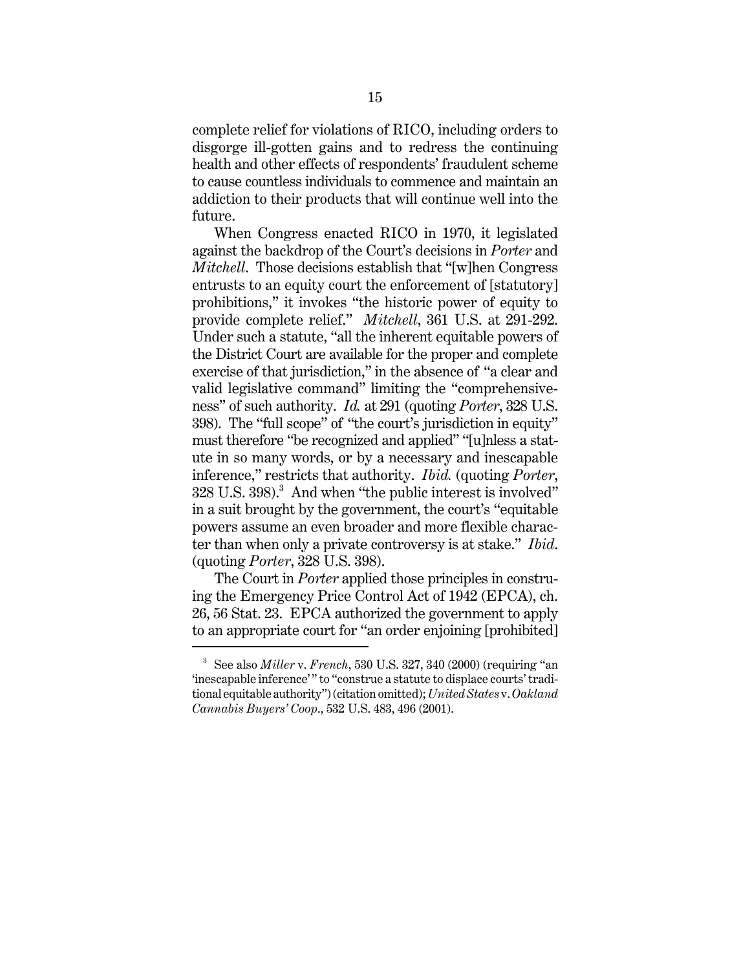complete relief for violations of RICO, including orders to disgorge ill-gotten gains and to redress the continuing health and other effects of respondents' fraudulent scheme to cause countless individuals to commence and maintain an addiction to their products that will continue well into the future.

When Congress enacted RICO in 1970, it legislated against the backdrop of the Court's decisions in *Porter* and *Mitchell*. Those decisions establish that "[w]hen Congress entrusts to an equity court the enforcement of [statutory] prohibitions," it invokes "the historic power of equity to provide complete relief." *Mitchell*, 361 U.S. at 291-292. Under such a statute, "all the inherent equitable powers of the District Court are available for the proper and complete exercise of that jurisdiction," in the absence of "a clear and valid legislative command" limiting the "comprehensiveness" of such authority. *Id.* at 291 (quoting *Porter*, 328 U.S. 398). The "full scope" of "the court's jurisdiction in equity" must therefore "be recognized and applied" "[u]nless a statute in so many words, or by a necessary and inescapable inference," restricts that authority. *Ibid.* (quoting *Porter*,  $328$  U.S.  $398$ ). $^3$  And when "the public interest is involved" in a suit brought by the government, the court's "equitable powers assume an even broader and more flexible character than when only a private controversy is at stake." *Ibid*. (quoting *Porter*, 328 U.S. 398).

The Court in *Porter* applied those principles in construing the Emergency Price Control Act of 1942 (EPCA), ch. 26, 56 Stat. 23. EPCA authorized the government to apply to an appropriate court for "an order enjoining [prohibited]

<sup>3</sup> See also *Miller* v. *French*, 530 U.S. 327, 340 (2000) (requiring "an 'inescapable inference'" to "construe a statute to displace courts' traditional equitable authority") (citation omitted); *United States* v. *Oakland Cannabis Buyers' Coop*., 532 U.S. 483, 496 (2001).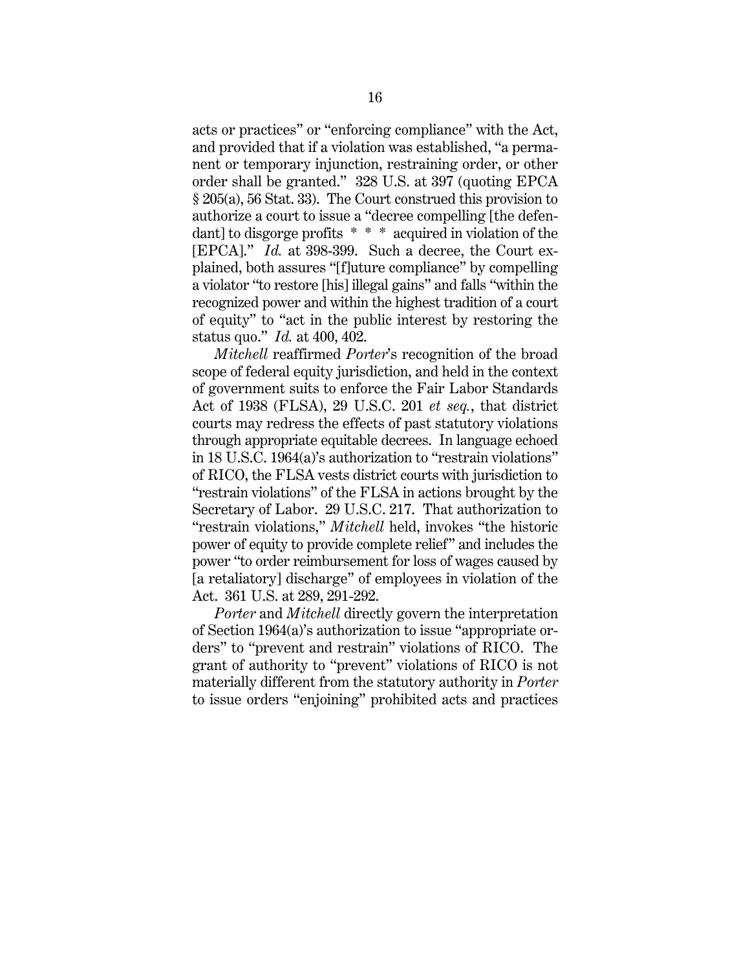acts or practices" or "enforcing compliance" with the Act, and provided that if a violation was established, "a permanent or temporary injunction, restraining order, or other order shall be granted." 328 U.S. at 397 (quoting EPCA § 205(a), 56 Stat. 33). The Court construed this provision to authorize a court to issue a "decree compelling [the defendant] to disgorge profits \* \* \* acquired in violation of the [EPCA]." *Id.* at 398-399. Such a decree, the Court explained, both assures "[f]uture compliance" by compelling a violator "to restore [his] illegal gains" and falls "within the recognized power and within the highest tradition of a court of equity" to "act in the public interest by restoring the status quo." *Id.* at 400, 402.

*Mitchell* reaffirmed *Porter*'s recognition of the broad scope of federal equity jurisdiction, and held in the context of government suits to enforce the Fair Labor Standards Act of 1938 (FLSA), 29 U.S.C. 201 *et seq.*, that district courts may redress the effects of past statutory violations through appropriate equitable decrees. In language echoed in 18 U.S.C. 1964(a)'s authorization to "restrain violations" of RICO, the FLSA vests district courts with jurisdiction to "restrain violations" of the FLSA in actions brought by the Secretary of Labor. 29 U.S.C. 217. That authorization to "restrain violations," *Mitchell* held, invokes "the historic power of equity to provide complete relief" and includes the power "to order reimbursement for loss of wages caused by [a retaliatory] discharge" of employees in violation of the Act. 361 U.S. at 289, 291-292.

*Porter* and *Mitchell* directly govern the interpretation of Section 1964(a)'s authorization to issue "appropriate orders" to "prevent and restrain" violations of RICO. The grant of authority to "prevent" violations of RICO is not materially different from the statutory authority in *Porter* to issue orders "enjoining" prohibited acts and practices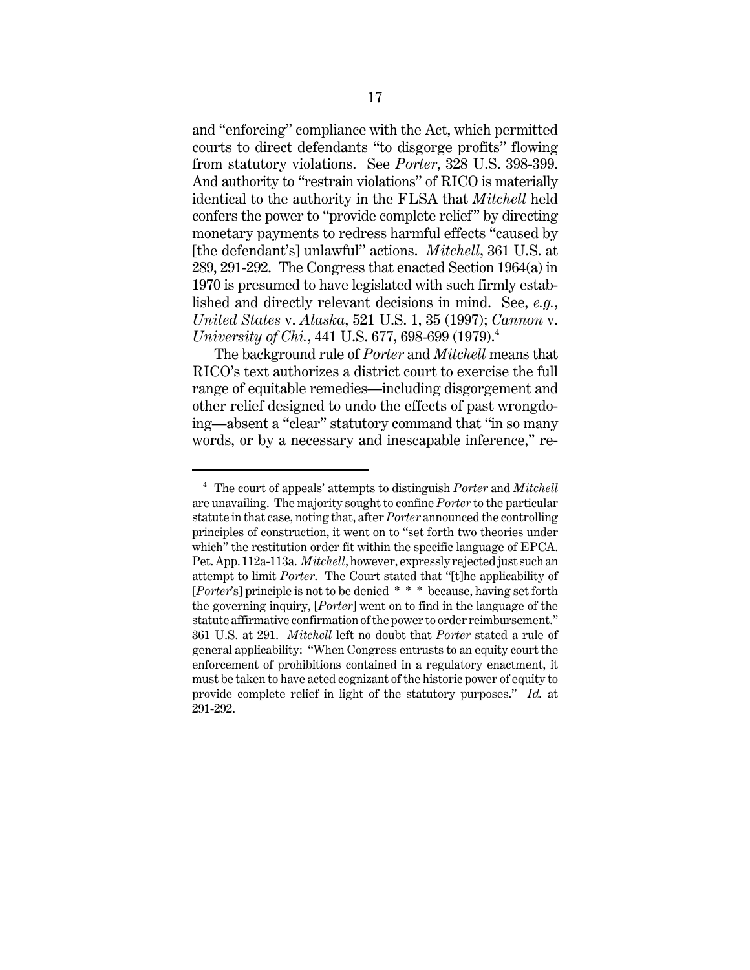and "enforcing" compliance with the Act, which permitted courts to direct defendants "to disgorge profits" flowing from statutory violations. See *Porter*, 328 U.S. 398-399. And authority to "restrain violations" of RICO is materially identical to the authority in the FLSA that *Mitchell* held confers the power to "provide complete relief" by directing monetary payments to redress harmful effects "caused by [the defendant's] unlawful" actions. *Mitchell*, 361 U.S. at 289, 291-292. The Congress that enacted Section 1964(a) in 1970 is presumed to have legislated with such firmly established and directly relevant decisions in mind. See, *e.g.*, *United States* v. *Alaska*, 521 U.S. 1, 35 (1997); *Cannon* v. *University of Chi.*, 441 U.S. 677, 698-699 (1979).<sup>4</sup>

The background rule of *Porter* and *Mitchell* means that RICO's text authorizes a district court to exercise the full range of equitable remedies—including disgorgement and other relief designed to undo the effects of past wrongdoing—absent a "clear" statutory command that "in so many words, or by a necessary and inescapable inference," re-

<sup>4</sup> The court of appeals' attempts to distinguish *Porter* and *Mitchell* are unavailing. The majority sought to confine *Porter* to the particular statute in that case, noting that, after *Porter* announced the controlling principles of construction, it went on to "set forth two theories under which" the restitution order fit within the specific language of EPCA. Pet. App. 112a-113a. *Mitchell*, however, expressly rejected just such an attempt to limit *Porter*. The Court stated that "[t]he applicability of [*Porter*'s] principle is not to be denied \* \* \* because, having set forth the governing inquiry, [*Porter*] went on to find in the language of the statute affirmative confirmation of the power to order reimbursement." 361 U.S. at 291. *Mitchell* left no doubt that *Porter* stated a rule of general applicability: "When Congress entrusts to an equity court the enforcement of prohibitions contained in a regulatory enactment, it must be taken to have acted cognizant of the historic power of equity to provide complete relief in light of the statutory purposes." *Id.* at 291-292.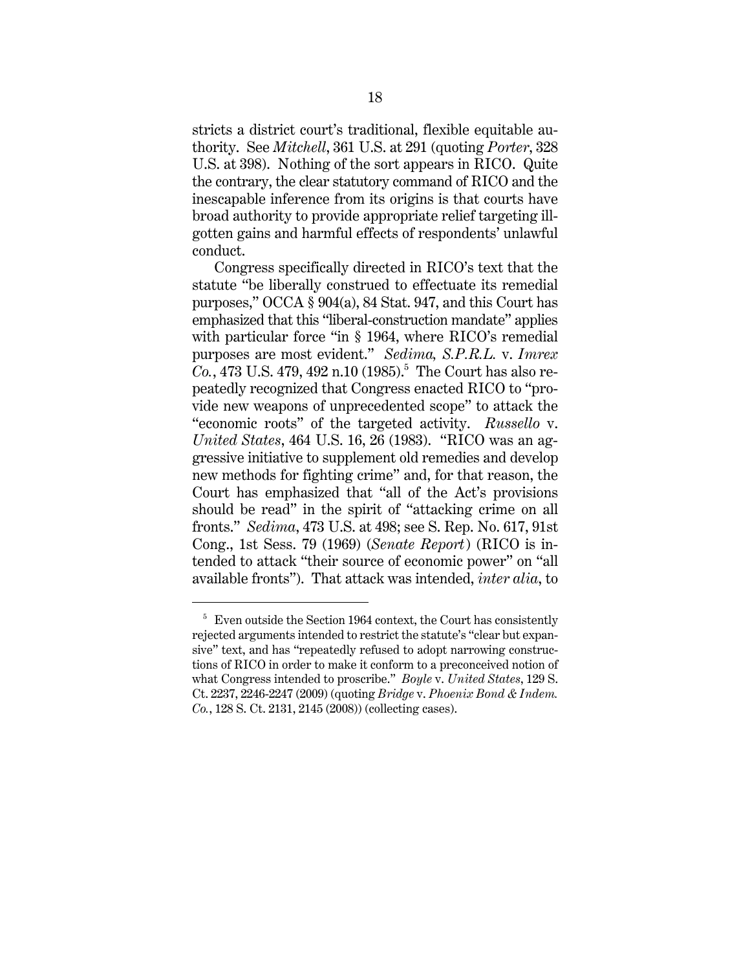stricts a district court's traditional, flexible equitable authority. See *Mitchell*, 361 U.S. at 291 (quoting *Porter*, 328 U.S. at 398). Nothing of the sort appears in RICO. Quite the contrary, the clear statutory command of RICO and the inescapable inference from its origins is that courts have broad authority to provide appropriate relief targeting illgotten gains and harmful effects of respondents' unlawful conduct.

Congress specifically directed in RICO's text that the statute "be liberally construed to effectuate its remedial purposes," OCCA § 904(a), 84 Stat. 947, and this Court has emphasized that this "liberal-construction mandate" applies with particular force "in § 1964, where RICO's remedial purposes are most evident." *Sedima, S.P.R.L.* v. *Imrex*  $Co., 473 \text{ U.S. } 479, 492 \text{ n.} 10 (1985).$ <sup>5</sup> The Court has also repeatedly recognized that Congress enacted RICO to "provide new weapons of unprecedented scope" to attack the "economic roots" of the targeted activity. *Russello* v. *United States*, 464 U.S. 16, 26 (1983). "RICO was an aggressive initiative to supplement old remedies and develop new methods for fighting crime" and, for that reason, the Court has emphasized that "all of the Act's provisions should be read" in the spirit of "attacking crime on all fronts." *Sedima*, 473 U.S. at 498; see S. Rep. No. 617, 91st Cong., 1st Sess. 79 (1969) (*Senate Report*) (RICO is intended to attack "their source of economic power" on "all available fronts"). That attack was intended, *inter alia*, to

 $5$  Even outside the Section 1964 context, the Court has consistently rejected arguments intended to restrict the statute's "clear but expansive" text, and has "repeatedly refused to adopt narrowing constructions of RICO in order to make it conform to a preconceived notion of what Congress intended to proscribe." *Boyle* v. *United States*, 129 S. Ct. 2237, 2246-2247 (2009) (quoting *Bridge* v. *Phoenix Bond & Indem. Co.*, 128 S. Ct. 2131, 2145 (2008)) (collecting cases).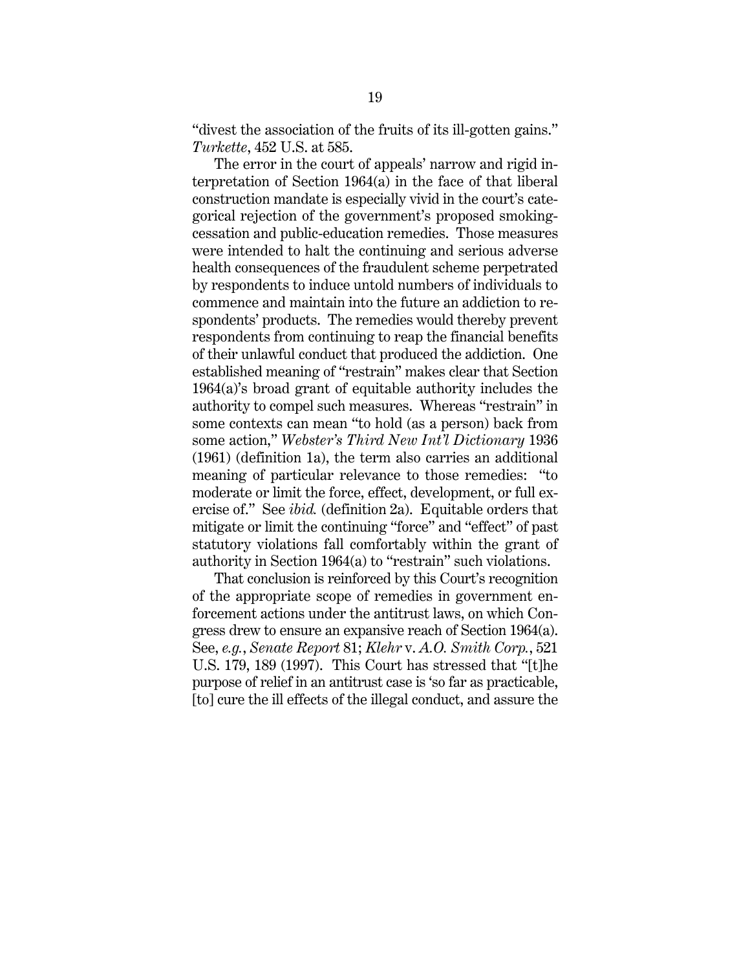"divest the association of the fruits of its ill-gotten gains." *Turkette*, 452 U.S. at 585.

The error in the court of appeals' narrow and rigid interpretation of Section 1964(a) in the face of that liberal construction mandate is especially vivid in the court's categorical rejection of the government's proposed smokingcessation and public-education remedies. Those measures were intended to halt the continuing and serious adverse health consequences of the fraudulent scheme perpetrated by respondents to induce untold numbers of individuals to commence and maintain into the future an addiction to respondents' products. The remedies would thereby prevent respondents from continuing to reap the financial benefits of their unlawful conduct that produced the addiction. One established meaning of "restrain" makes clear that Section 1964(a)'s broad grant of equitable authority includes the authority to compel such measures. Whereas "restrain" in some contexts can mean "to hold (as a person) back from some action," *Webster's Third New Int'l Dictionary* 1936 (1961) (definition 1a), the term also carries an additional meaning of particular relevance to those remedies: "to moderate or limit the force, effect, development, or full exercise of." See *ibid.* (definition 2a). Equitable orders that mitigate or limit the continuing "force" and "effect" of past statutory violations fall comfortably within the grant of authority in Section 1964(a) to "restrain" such violations.

That conclusion is reinforced by this Court's recognition of the appropriate scope of remedies in government enforcement actions under the antitrust laws, on which Congress drew to ensure an expansive reach of Section 1964(a). See, *e.g.*, *Senate Report* 81; *Klehr* v. *A.O. Smith Corp.*, 521 U.S. 179, 189 (1997). This Court has stressed that "[t]he purpose of relief in an antitrust case is 'so far as practicable, [to] cure the ill effects of the illegal conduct, and assure the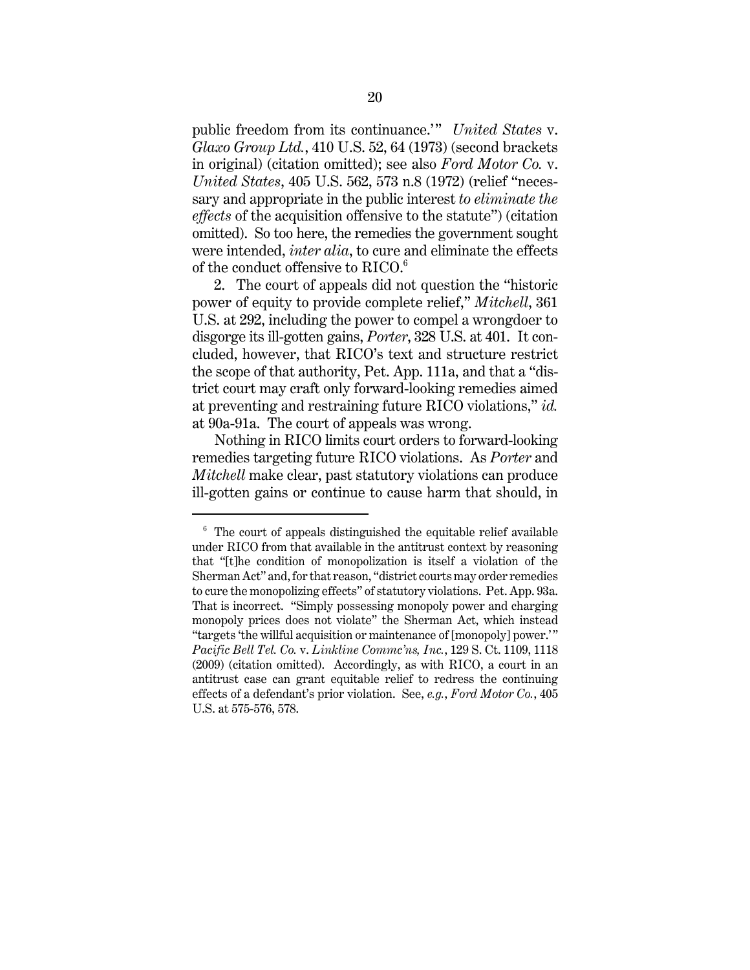public freedom from its continuance.'" *United States* v. *Glaxo Group Ltd.*, 410 U.S. 52, 64 (1973) (second brackets in original) (citation omitted); see also *Ford Motor Co.* v. *United States*, 405 U.S. 562, 573 n.8 (1972) (relief "necessary and appropriate in the public interest *to eliminate the effects* of the acquisition offensive to the statute") (citation omitted). So too here, the remedies the government sought were intended, *inter alia*, to cure and eliminate the effects of the conduct offensive to  $RICO.^6$ 

2. The court of appeals did not question the "historic power of equity to provide complete relief," *Mitchell*, 361 U.S. at 292, including the power to compel a wrongdoer to disgorge its ill-gotten gains, *Porter*, 328 U.S. at 401. It concluded, however, that RICO's text and structure restrict the scope of that authority, Pet. App. 111a, and that a "district court may craft only forward-looking remedies aimed at preventing and restraining future RICO violations," *id.* at 90a-91a. The court of appeals was wrong.

Nothing in RICO limits court orders to forward-looking remedies targeting future RICO violations. As *Porter* and *Mitchell* make clear, past statutory violations can produce ill-gotten gains or continue to cause harm that should, in

 $6$  The court of appeals distinguished the equitable relief available under RICO from that available in the antitrust context by reasoning that "[t]he condition of monopolization is itself a violation of the Sherman Act" and, for that reason, "district courts may order remedies to cure the monopolizing effects" of statutory violations. Pet. App. 93a. That is incorrect. "Simply possessing monopoly power and charging monopoly prices does not violate" the Sherman Act, which instead "targets 'the willful acquisition or maintenance of [monopoly] power.'" *Pacific Bell Tel. Co.* v. *Linkline Commc'ns, Inc.*, 129 S. Ct. 1109, 1118 (2009) (citation omitted). Accordingly, as with RICO, a court in an antitrust case can grant equitable relief to redress the continuing effects of a defendant's prior violation. See, *e.g.*, *Ford Motor Co.*, 405 U.S. at 575-576, 578.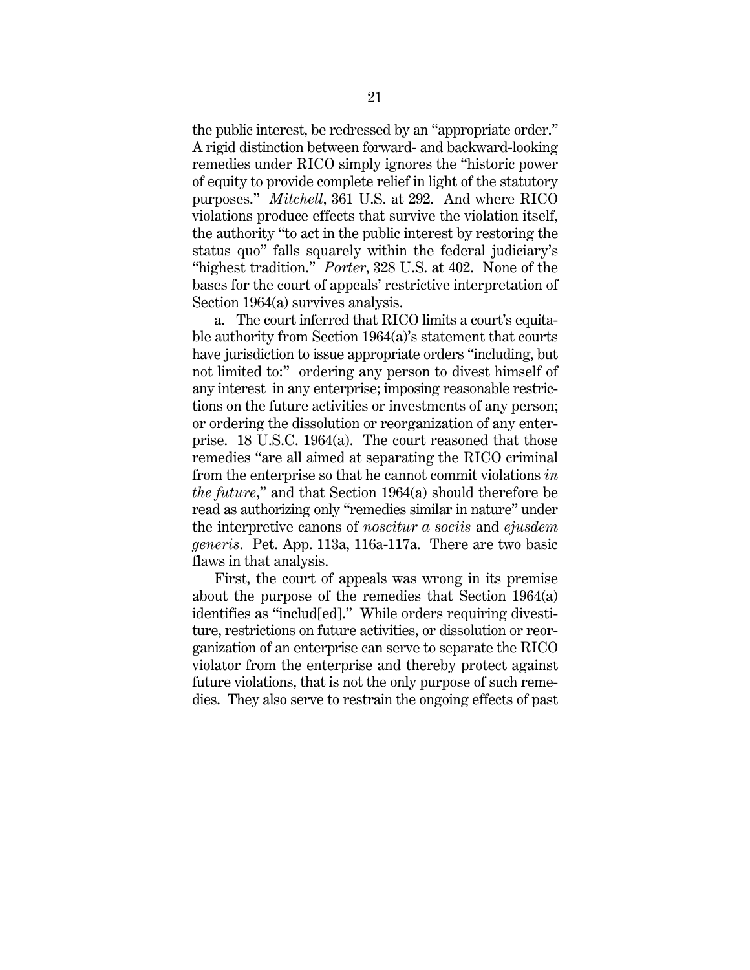the public interest, be redressed by an "appropriate order." A rigid distinction between forward- and backward-looking remedies under RICO simply ignores the "historic power of equity to provide complete relief in light of the statutory purposes." *Mitchell*, 361 U.S. at 292. And where RICO violations produce effects that survive the violation itself, the authority "to act in the public interest by restoring the status quo" falls squarely within the federal judiciary's "highest tradition." *Porter*, 328 U.S. at 402. None of the bases for the court of appeals' restrictive interpretation of Section 1964(a) survives analysis.

a. The court inferred that RICO limits a court's equitable authority from Section 1964(a)'s statement that courts have jurisdiction to issue appropriate orders "including, but not limited to:" ordering any person to divest himself of any interest in any enterprise; imposing reasonable restrictions on the future activities or investments of any person; or ordering the dissolution or reorganization of any enterprise. 18 U.S.C. 1964(a). The court reasoned that those remedies "are all aimed at separating the RICO criminal from the enterprise so that he cannot commit violations *in the future*," and that Section 1964(a) should therefore be read as authorizing only "remedies similar in nature" under the interpretive canons of *noscitur a sociis* and *ejusdem generis*. Pet. App. 113a, 116a-117a. There are two basic flaws in that analysis.

First, the court of appeals was wrong in its premise about the purpose of the remedies that Section 1964(a) identifies as "includ[ed]." While orders requiring divestiture, restrictions on future activities, or dissolution or reorganization of an enterprise can serve to separate the RICO violator from the enterprise and thereby protect against future violations, that is not the only purpose of such remedies. They also serve to restrain the ongoing effects of past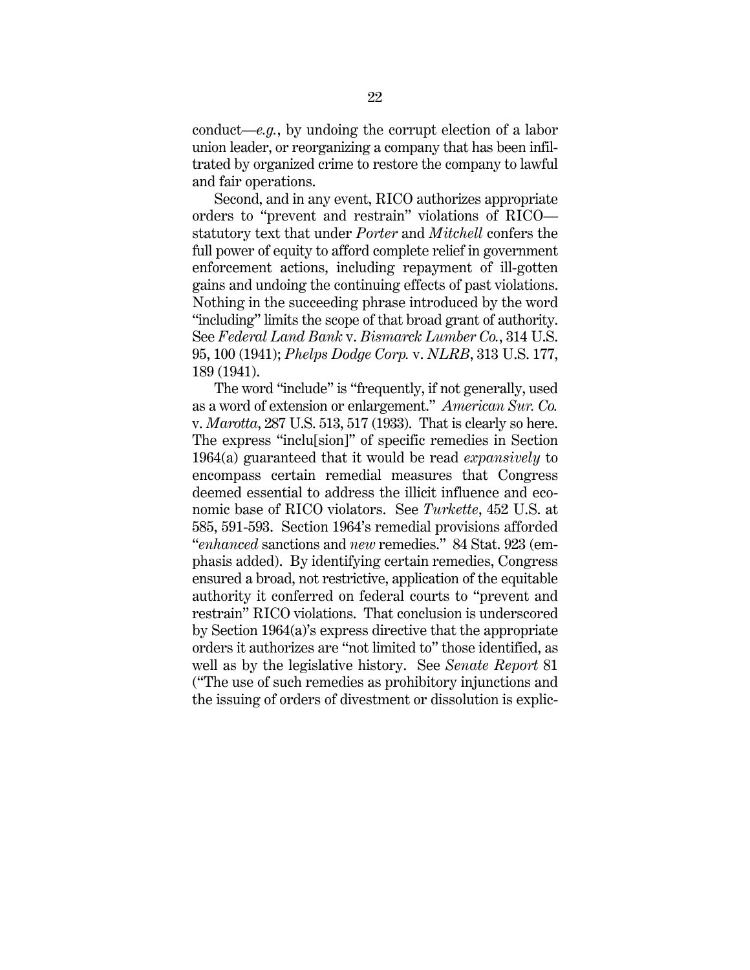conduct—*e.g.*, by undoing the corrupt election of a labor union leader, or reorganizing a company that has been infiltrated by organized crime to restore the company to lawful and fair operations.

Second, and in any event, RICO authorizes appropriate orders to "prevent and restrain" violations of RICO statutory text that under *Porter* and *Mitchell* confers the full power of equity to afford complete relief in government enforcement actions, including repayment of ill-gotten gains and undoing the continuing effects of past violations. Nothing in the succeeding phrase introduced by the word "including" limits the scope of that broad grant of authority. See *Federal Land Bank* v. *Bismarck Lumber Co.*, 314 U.S. 95, 100 (1941); *Phelps Dodge Corp.* v. *NLRB*, 313 U.S. 177, 189 (1941).

The word "include" is "frequently, if not generally, used as a word of extension or enlargement." *American Sur. Co.* v. *Marotta*, 287 U.S. 513, 517 (1933). That is clearly so here. The express "inclu[sion]" of specific remedies in Section 1964(a) guaranteed that it would be read *expansively* to encompass certain remedial measures that Congress deemed essential to address the illicit influence and economic base of RICO violators. See *Turkette*, 452 U.S. at 585, 591-593. Section 1964's remedial provisions afforded "*enhanced* sanctions and *new* remedies." 84 Stat. 923 (emphasis added). By identifying certain remedies, Congress ensured a broad, not restrictive, application of the equitable authority it conferred on federal courts to "prevent and restrain" RICO violations. That conclusion is underscored by Section 1964(a)'s express directive that the appropriate orders it authorizes are "not limited to" those identified, as well as by the legislative history. See *Senate Report* 81 ("The use of such remedies as prohibitory injunctions and the issuing of orders of divestment or dissolution is explic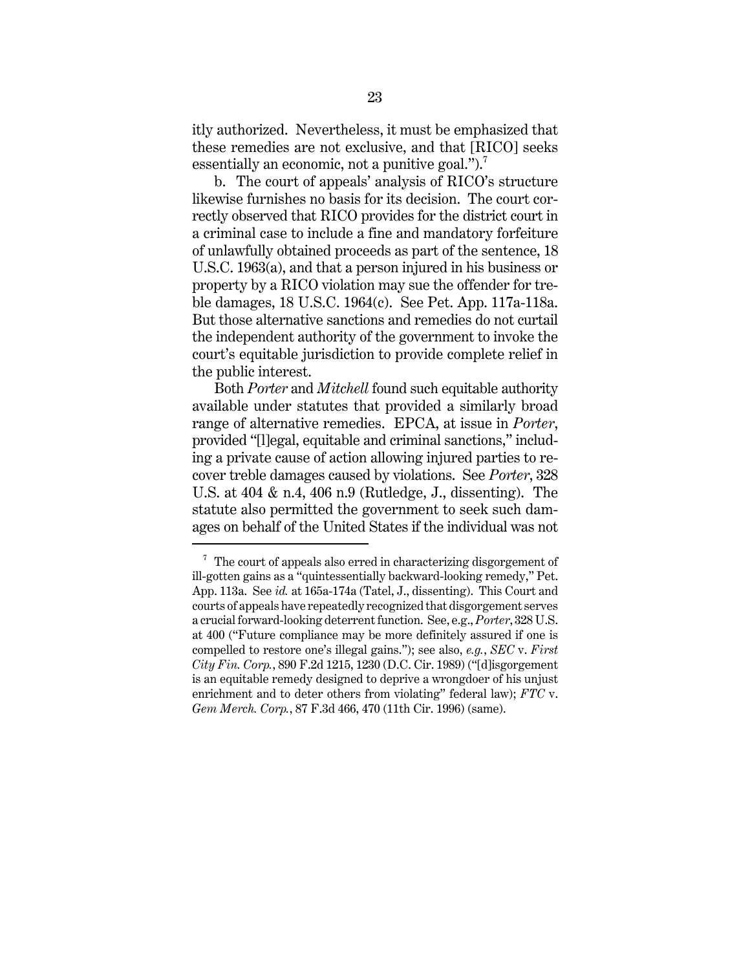itly authorized. Nevertheless, it must be emphasized that these remedies are not exclusive, and that [RICO] seeks essentially an economic, not a punitive goal.".

b. The court of appeals' analysis of RICO's structure likewise furnishes no basis for its decision. The court correctly observed that RICO provides for the district court in a criminal case to include a fine and mandatory forfeiture of unlawfully obtained proceeds as part of the sentence, 18 U.S.C. 1963(a), and that a person injured in his business or property by a RICO violation may sue the offender for treble damages, 18 U.S.C. 1964(c). See Pet. App. 117a-118a. But those alternative sanctions and remedies do not curtail the independent authority of the government to invoke the court's equitable jurisdiction to provide complete relief in the public interest.

Both *Porter* and *Mitchell* found such equitable authority available under statutes that provided a similarly broad range of alternative remedies. EPCA, at issue in *Porter*, provided "[l]egal, equitable and criminal sanctions," including a private cause of action allowing injured parties to recover treble damages caused by violations. See *Porter*, 328 U.S. at 404 & n.4, 406 n.9 (Rutledge, J., dissenting). The statute also permitted the government to seek such damages on behalf of the United States if the individual was not

 $\frac{7}{1}$  The court of appeals also erred in characterizing disgorgement of ill-gotten gains as a "quintessentially backward-looking remedy," Pet. App. 113a. See *id.* at 165a-174a (Tatel, J., dissenting). This Court and courts of appeals have repeatedly recognized that disgorgement serves a crucial forward-looking deterrent function. See, e.g., *Porter*, 328 U.S. at 400 ("Future compliance may be more definitely assured if one is compelled to restore one's illegal gains."); see also, *e.g.*, *SEC* v. *First City Fin. Corp.*, 890 F.2d 1215, 1230 (D.C. Cir. 1989) ("[d]isgorgement is an equitable remedy designed to deprive a wrongdoer of his unjust enrichment and to deter others from violating" federal law); *FTC* v. *Gem Merch. Corp.*, 87 F.3d 466, 470 (11th Cir. 1996) (same).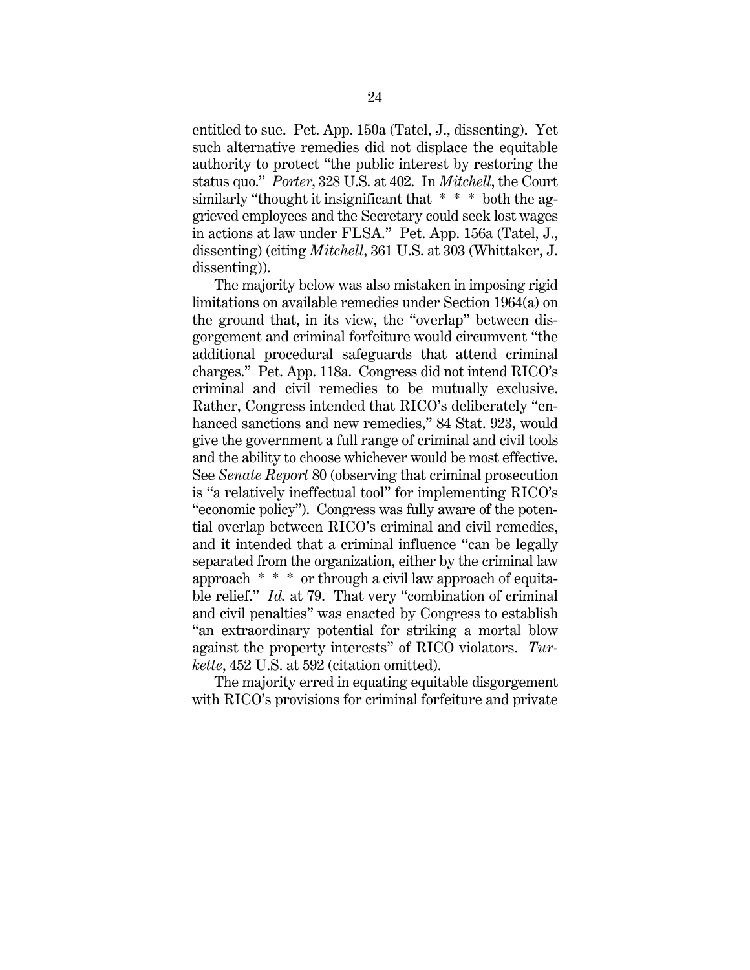entitled to sue. Pet. App. 150a (Tatel, J., dissenting). Yet such alternative remedies did not displace the equitable authority to protect "the public interest by restoring the status quo." *Porter*, 328 U.S. at 402. In *Mitchell*, the Court similarly "thought it insignificant that  $* * *$  both the aggrieved employees and the Secretary could seek lost wages in actions at law under FLSA." Pet. App. 156a (Tatel, J., dissenting) (citing *Mitchell*, 361 U.S. at 303 (Whittaker, J. dissenting)).

The majority below was also mistaken in imposing rigid limitations on available remedies under Section 1964(a) on the ground that, in its view, the "overlap" between disgorgement and criminal forfeiture would circumvent "the additional procedural safeguards that attend criminal charges." Pet. App. 118a. Congress did not intend RICO's criminal and civil remedies to be mutually exclusive. Rather, Congress intended that RICO's deliberately "enhanced sanctions and new remedies," 84 Stat. 923, would give the government a full range of criminal and civil tools and the ability to choose whichever would be most effective. See *Senate Report* 80 (observing that criminal prosecution is "a relatively ineffectual tool" for implementing RICO's "economic policy"). Congress was fully aware of the potential overlap between RICO's criminal and civil remedies, and it intended that a criminal influence "can be legally separated from the organization, either by the criminal law approach \* \* \* or through a civil law approach of equitable relief." *Id.* at 79. That very "combination of criminal and civil penalties" was enacted by Congress to establish "an extraordinary potential for striking a mortal blow against the property interests" of RICO violators. *Turkette*, 452 U.S. at 592 (citation omitted).

The majority erred in equating equitable disgorgement with RICO's provisions for criminal forfeiture and private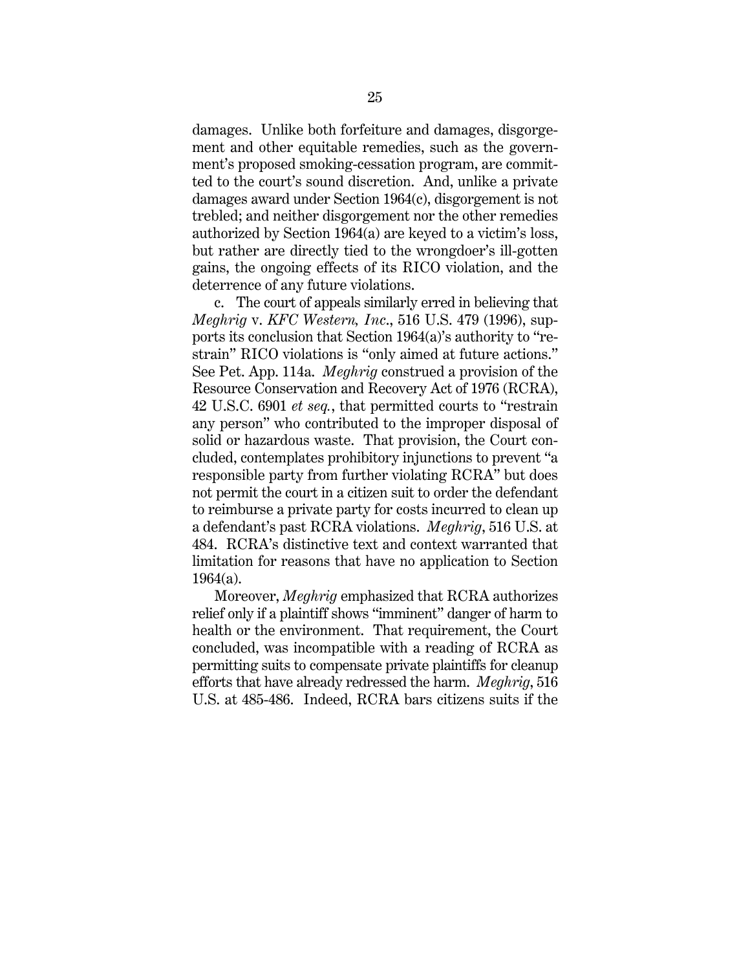damages. Unlike both forfeiture and damages, disgorgement and other equitable remedies, such as the government's proposed smoking-cessation program, are committed to the court's sound discretion. And, unlike a private damages award under Section 1964(c), disgorgement is not trebled; and neither disgorgement nor the other remedies authorized by Section 1964(a) are keyed to a victim's loss, but rather are directly tied to the wrongdoer's ill-gotten gains, the ongoing effects of its RICO violation, and the deterrence of any future violations.

c. The court of appeals similarly erred in believing that *Meghrig* v. *KFC Western, Inc*., 516 U.S. 479 (1996), supports its conclusion that Section 1964(a)'s authority to "restrain" RICO violations is "only aimed at future actions." See Pet. App. 114a. *Meghrig* construed a provision of the Resource Conservation and Recovery Act of 1976 (RCRA), 42 U.S.C. 6901 *et seq.*, that permitted courts to "restrain any person" who contributed to the improper disposal of solid or hazardous waste. That provision, the Court concluded, contemplates prohibitory injunctions to prevent "a responsible party from further violating RCRA" but does not permit the court in a citizen suit to order the defendant to reimburse a private party for costs incurred to clean up a defendant's past RCRA violations. *Meghrig*, 516 U.S. at 484. RCRA's distinctive text and context warranted that limitation for reasons that have no application to Section 1964(a).

Moreover, *Meghrig* emphasized that RCRA authorizes relief only if a plaintiff shows "imminent" danger of harm to health or the environment. That requirement, the Court concluded, was incompatible with a reading of RCRA as permitting suits to compensate private plaintiffs for cleanup efforts that have already redressed the harm. *Meghrig*, 516 U.S. at 485-486. Indeed, RCRA bars citizens suits if the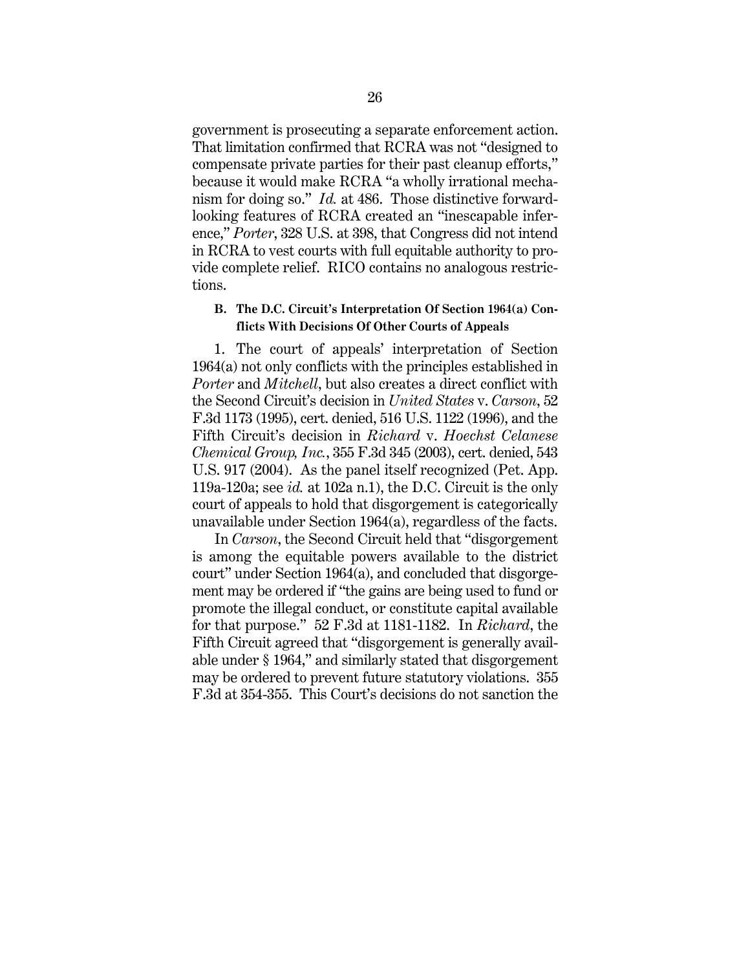government is prosecuting a separate enforcement action. That limitation confirmed that RCRA was not "designed to compensate private parties for their past cleanup efforts," because it would make RCRA "a wholly irrational mechanism for doing so." *Id.* at 486. Those distinctive forwardlooking features of RCRA created an "inescapable inference," *Porter*, 328 U.S. at 398, that Congress did not intend in RCRA to vest courts with full equitable authority to provide complete relief. RICO contains no analogous restrictions.

#### **B. The D.C. Circuit's Interpretation Of Section 1964(a) Conflicts With Decisions Of Other Courts of Appeals**

1. The court of appeals' interpretation of Section 1964(a) not only conflicts with the principles established in *Porter* and *Mitchell*, but also creates a direct conflict with the Second Circuit's decision in *United States* v. *Carson*, 52 F.3d 1173 (1995), cert. denied, 516 U.S. 1122 (1996), and the Fifth Circuit's decision in *Richard* v. *Hoechst Celanese Chemical Group, Inc.*, 355 F.3d 345 (2003), cert. denied, 543 U.S. 917 (2004). As the panel itself recognized (Pet. App. 119a-120a; see *id.* at 102a n.1), the D.C. Circuit is the only court of appeals to hold that disgorgement is categorically unavailable under Section 1964(a), regardless of the facts.

In *Carson*, the Second Circuit held that "disgorgement is among the equitable powers available to the district court" under Section 1964(a), and concluded that disgorgement may be ordered if "the gains are being used to fund or promote the illegal conduct, or constitute capital available for that purpose." 52 F.3d at 1181-1182. In *Richard*, the Fifth Circuit agreed that "disgorgement is generally available under § 1964," and similarly stated that disgorgement may be ordered to prevent future statutory violations. 355 F.3d at 354-355. This Court's decisions do not sanction the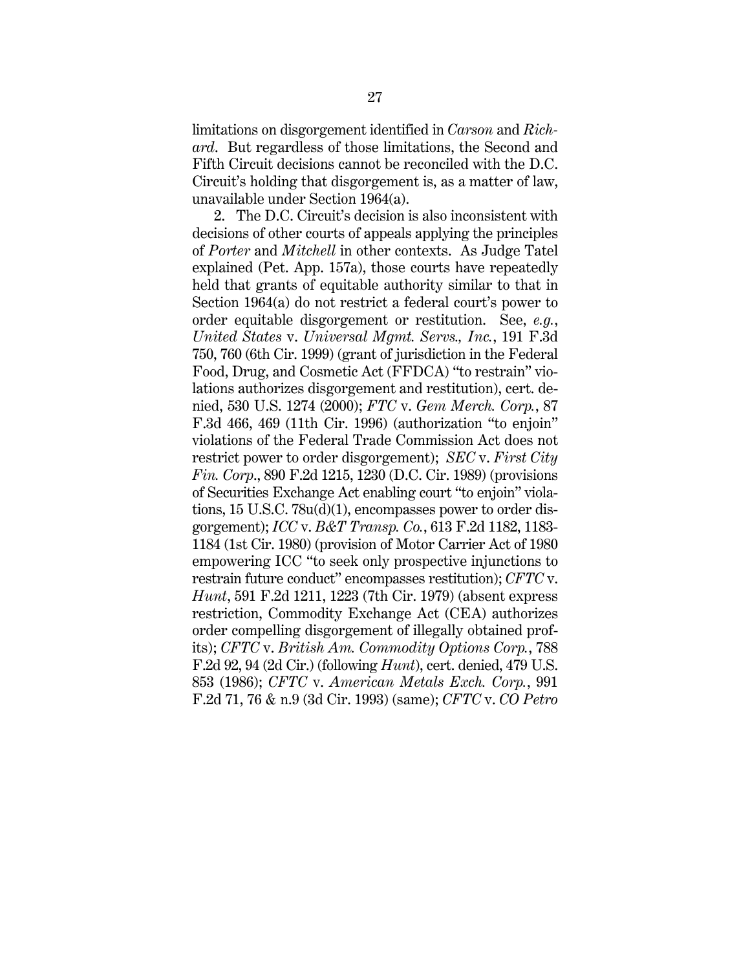limitations on disgorgement identified in *Carson* and *Richard*. But regardless of those limitations, the Second and Fifth Circuit decisions cannot be reconciled with the D.C. Circuit's holding that disgorgement is, as a matter of law, unavailable under Section 1964(a).

2. The D.C. Circuit's decision is also inconsistent with decisions of other courts of appeals applying the principles of *Porter* and *Mitchell* in other contexts. As Judge Tatel explained (Pet. App. 157a), those courts have repeatedly held that grants of equitable authority similar to that in Section 1964(a) do not restrict a federal court's power to order equitable disgorgement or restitution. See, *e.g.*, *United States* v. *Universal Mgmt. Servs., Inc.*, 191 F.3d 750, 760 (6th Cir. 1999) (grant of jurisdiction in the Federal Food, Drug, and Cosmetic Act (FFDCA) "to restrain" violations authorizes disgorgement and restitution), cert. denied, 530 U.S. 1274 (2000); *FTC* v. *Gem Merch. Corp.*, 87 F.3d 466, 469 (11th Cir. 1996) (authorization "to enjoin" violations of the Federal Trade Commission Act does not restrict power to order disgorgement); *SEC* v. *First City Fin. Corp*., 890 F.2d 1215, 1230 (D.C. Cir. 1989) (provisions of Securities Exchange Act enabling court "to enjoin" violations, 15 U.S.C. 78u(d)(1), encompasses power to order disgorgement); *ICC* v. *B&T Transp. Co.*, 613 F.2d 1182, 1183- 1184 (1st Cir. 1980) (provision of Motor Carrier Act of 1980 empowering ICC "to seek only prospective injunctions to restrain future conduct" encompasses restitution); *CFTC* v. *Hunt*, 591 F.2d 1211, 1223 (7th Cir. 1979) (absent express restriction, Commodity Exchange Act (CEA) authorizes order compelling disgorgement of illegally obtained profits); *CFTC* v. *British Am. Commodity Options Corp.*, 788 F.2d 92, 94 (2d Cir.) (following *Hunt*), cert. denied, 479 U.S. 853 (1986); *CFTC* v. *American Metals Exch. Corp.*, 991 F.2d 71, 76 & n.9 (3d Cir. 1993) (same); *CFTC* v. *CO Petro*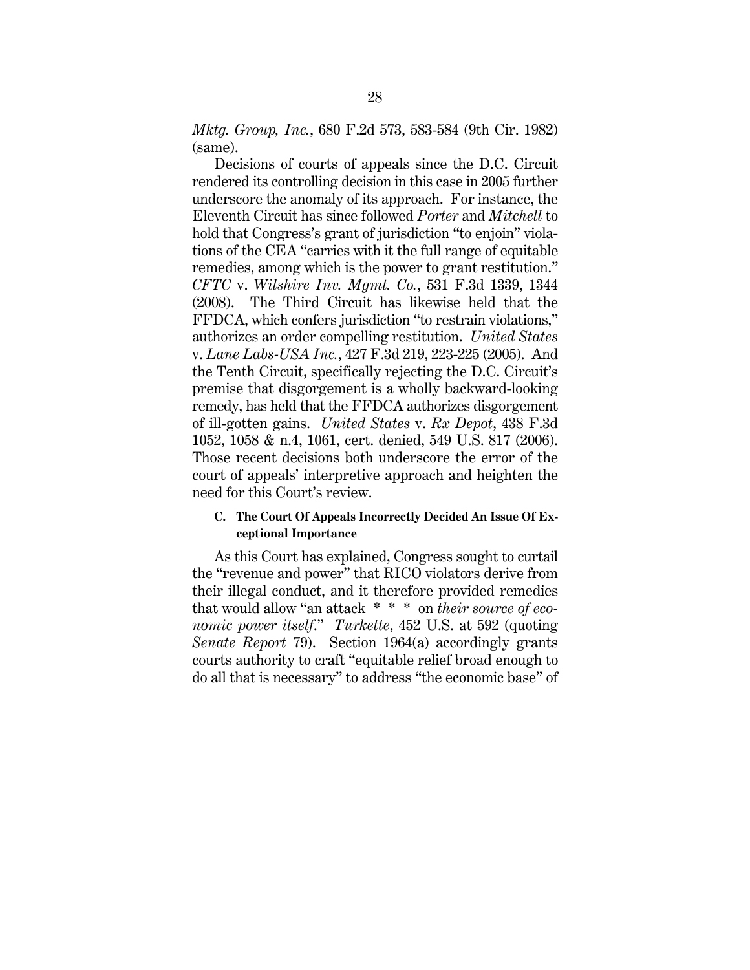*Mktg. Group, Inc.*, 680 F.2d 573, 583-584 (9th Cir. 1982) (same).

Decisions of courts of appeals since the D.C. Circuit rendered its controlling decision in this case in 2005 further underscore the anomaly of its approach. For instance, the Eleventh Circuit has since followed *Porter* and *Mitchell* to hold that Congress's grant of jurisdiction "to enjoin" violations of the CEA "carries with it the full range of equitable remedies, among which is the power to grant restitution." *CFTC* v. *Wilshire Inv. Mgmt. Co.*, 531 F.3d 1339, 1344 (2008). The Third Circuit has likewise held that the FFDCA, which confers jurisdiction "to restrain violations," authorizes an order compelling restitution. *United States* v. *Lane Labs-USA Inc.*, 427 F.3d 219, 223-225 (2005). And the Tenth Circuit, specifically rejecting the D.C. Circuit's premise that disgorgement is a wholly backward-looking remedy, has held that the FFDCA authorizes disgorgement of ill-gotten gains. *United States* v. *Rx Depot*, 438 F.3d 1052, 1058 & n.4, 1061, cert. denied, 549 U.S. 817 (2006). Those recent decisions both underscore the error of the court of appeals' interpretive approach and heighten the need for this Court's review.

#### **C. The Court Of Appeals Incorrectly Decided An Issue Of Exceptional Importance**

As this Court has explained, Congress sought to curtail the "revenue and power" that RICO violators derive from their illegal conduct, and it therefore provided remedies that would allow "an attack \* \* \* on *their source of economic power itself*." *Turkette*, 452 U.S. at 592 (quoting *Senate Report* 79). Section 1964(a) accordingly grants courts authority to craft "equitable relief broad enough to do all that is necessary" to address "the economic base" of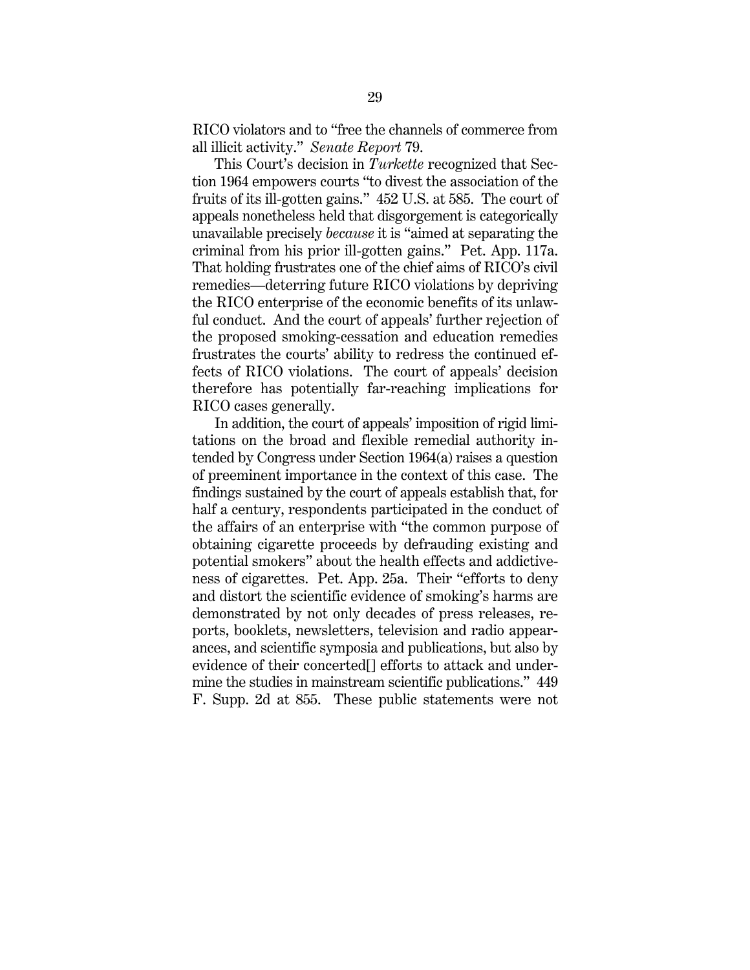RICO violators and to "free the channels of commerce from all illicit activity." *Senate Report* 79.

This Court's decision in *Turkette* recognized that Section 1964 empowers courts "to divest the association of the fruits of its ill-gotten gains." 452 U.S. at 585. The court of appeals nonetheless held that disgorgement is categorically unavailable precisely *because* it is "aimed at separating the criminal from his prior ill-gotten gains." Pet. App. 117a. That holding frustrates one of the chief aims of RICO's civil remedies—deterring future RICO violations by depriving the RICO enterprise of the economic benefits of its unlawful conduct. And the court of appeals' further rejection of the proposed smoking-cessation and education remedies frustrates the courts' ability to redress the continued effects of RICO violations. The court of appeals' decision therefore has potentially far-reaching implications for RICO cases generally.

In addition, the court of appeals' imposition of rigid limitations on the broad and flexible remedial authority intended by Congress under Section 1964(a) raises a question of preeminent importance in the context of this case. The findings sustained by the court of appeals establish that, for half a century, respondents participated in the conduct of the affairs of an enterprise with "the common purpose of obtaining cigarette proceeds by defrauding existing and potential smokers" about the health effects and addictiveness of cigarettes. Pet. App. 25a. Their "efforts to deny and distort the scientific evidence of smoking's harms are demonstrated by not only decades of press releases, reports, booklets, newsletters, television and radio appearances, and scientific symposia and publications, but also by evidence of their concerted[] efforts to attack and undermine the studies in mainstream scientific publications." 449 F. Supp. 2d at 855. These public statements were not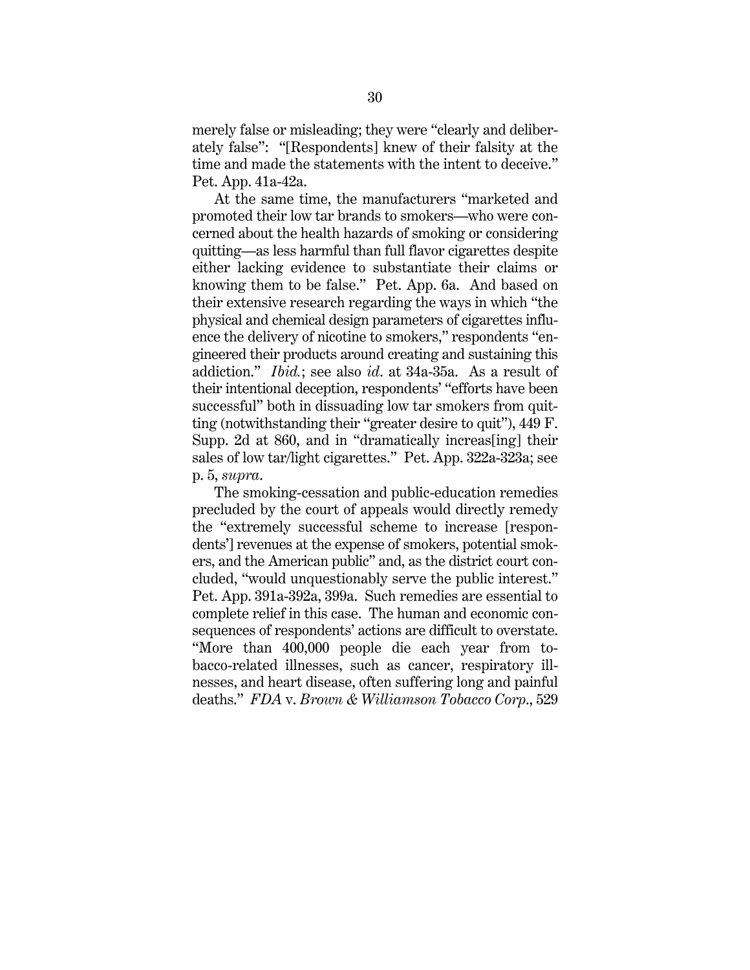merely false or misleading; they were "clearly and deliberately false": "[Respondents] knew of their falsity at the time and made the statements with the intent to deceive." Pet. App. 41a-42a.

At the same time, the manufacturers "marketed and promoted their low tar brands to smokers—who were concerned about the health hazards of smoking or considering quitting—as less harmful than full flavor cigarettes despite either lacking evidence to substantiate their claims or knowing them to be false." Pet. App. 6a. And based on their extensive research regarding the ways in which "the physical and chemical design parameters of cigarettes influence the delivery of nicotine to smokers," respondents "engineered their products around creating and sustaining this addiction." *Ibid.*; see also *id*. at 34a-35a. As a result of their intentional deception, respondents' "efforts have been successful" both in dissuading low tar smokers from quitting (notwithstanding their "greater desire to quit"), 449 F. Supp. 2d at 860, and in "dramatically increas[ing] their sales of low tar/light cigarettes." Pet. App. 322a-323a; see p. 5, *supra*.

The smoking-cessation and public-education remedies precluded by the court of appeals would directly remedy the "extremely successful scheme to increase [respondents'] revenues at the expense of smokers, potential smokers, and the American public" and, as the district court concluded, "would unquestionably serve the public interest." Pet. App. 391a-392a, 399a. Such remedies are essential to complete relief in this case. The human and economic consequences of respondents' actions are difficult to overstate. "More than 400,000 people die each year from tobacco-related illnesses, such as cancer, respiratory illnesses, and heart disease, often suffering long and painful deaths." *FDA* v. *Brown & Williamson Tobacco Corp*., 529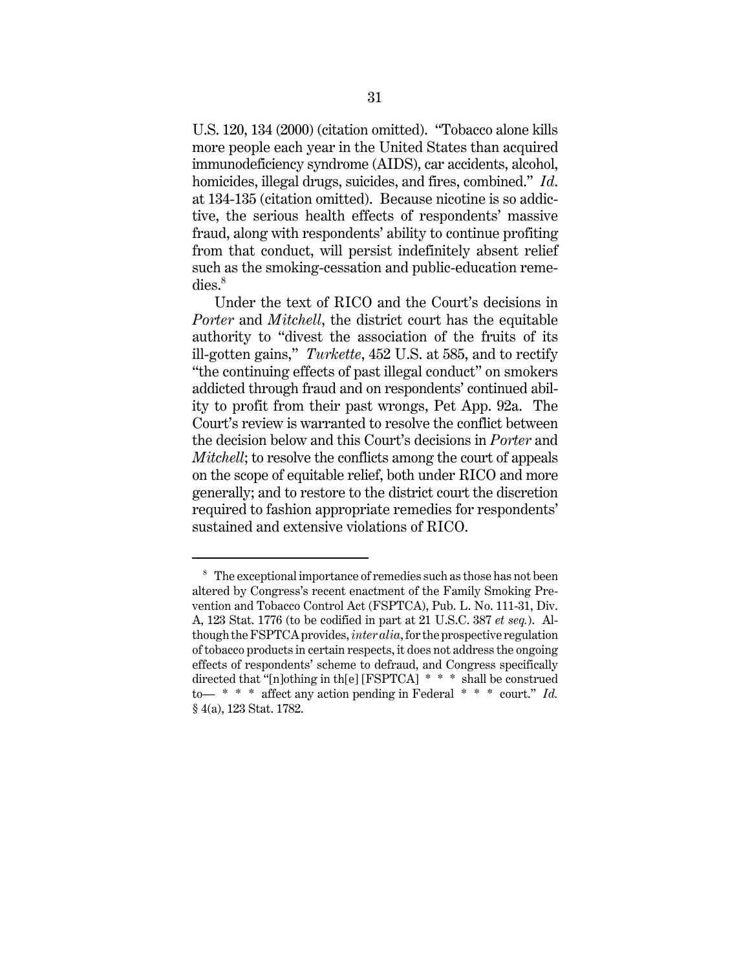U.S. 120, 134 (2000) (citation omitted). "Tobacco alone kills more people each year in the United States than acquired immunodeficiency syndrome (AIDS), car accidents, alcohol, homicides, illegal drugs, suicides, and fires, combined." *Id*. at 134-135 (citation omitted). Because nicotine is so addictive, the serious health effects of respondents' massive fraud, along with respondents' ability to continue profiting from that conduct, will persist indefinitely absent relief such as the smoking-cessation and public-education reme $dies.<sup>8</sup>$ 

Under the text of RICO and the Court's decisions in *Porter* and *Mitchell*, the district court has the equitable authority to "divest the association of the fruits of its ill-gotten gains," *Turkette*, 452 U.S. at 585, and to rectify "the continuing effects of past illegal conduct" on smokers addicted through fraud and on respondents' continued ability to profit from their past wrongs, Pet App. 92a. The Court's review is warranted to resolve the conflict between the decision below and this Court's decisions in *Porter* and *Mitchell*; to resolve the conflicts among the court of appeals on the scope of equitable relief, both under RICO and more generally; and to restore to the district court the discretion required to fashion appropriate remedies for respondents' sustained and extensive violations of RICO.

 $8<sup>8</sup>$  The exceptional importance of remedies such as those has not been altered by Congress's recent enactment of the Family Smoking Prevention and Tobacco Control Act (FSPTCA), Pub. L. No. 111-31, Div. A, 123 Stat. 1776 (to be codified in part at 21 U.S.C. 387 *et seq.*). Although the FSPTCA provides, *inter alia*, for the prospective regulation of tobacco products in certain respects, it does not address the ongoing effects of respondents' scheme to defraud, and Congress specifically directed that "[n]othing in th[e] [FSPTCA] \* \* \* shall be construed to— \* \* \* affect any action pending in Federal \* \* \* court." *Id.* § 4(a), 123 Stat. 1782.